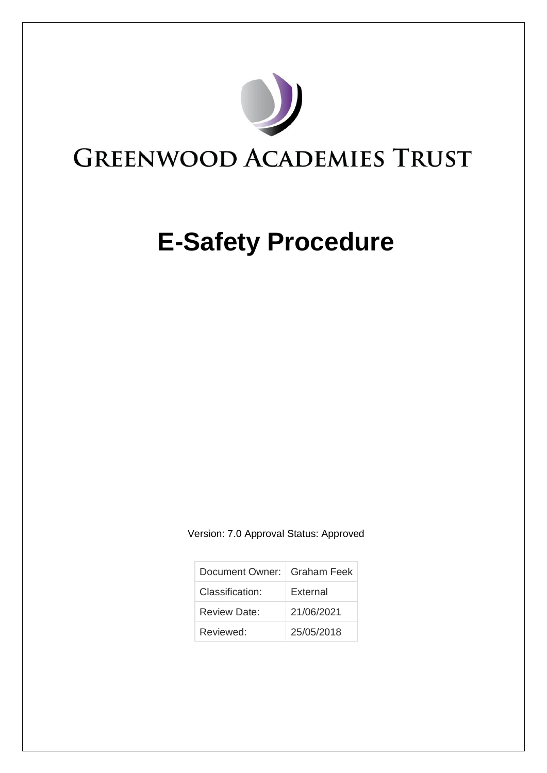

# **E-Safety Procedure**

Version: 7.0 Approval Status: Approved

| Document Owner:   Graham Feek |                 |
|-------------------------------|-----------------|
| Classification:               | <b>External</b> |
| Review Date:                  | 21/06/2021      |
| Reviewed:                     | 25/05/2018      |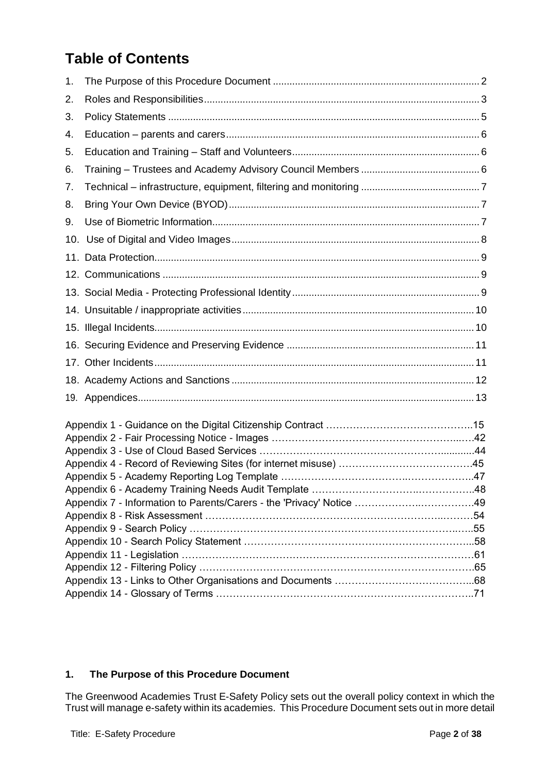# **Table of Contents**

| 1. |  |
|----|--|
| 2. |  |
| 3. |  |
| 4. |  |
| 5. |  |
| 6. |  |
| 7. |  |
| 8. |  |
| 9. |  |
|    |  |
|    |  |
|    |  |
|    |  |
|    |  |
|    |  |
|    |  |
|    |  |
|    |  |
|    |  |
|    |  |
|    |  |
|    |  |
|    |  |
|    |  |
|    |  |
|    |  |
|    |  |
|    |  |
|    |  |
|    |  |
|    |  |
|    |  |

# <span id="page-1-0"></span>**1. The Purpose of this Procedure Document**

The Greenwood Academies Trust E-Safety Policy sets out the overall policy context in which the Trust will manage e-safety within its academies. This Procedure Document sets out in more detail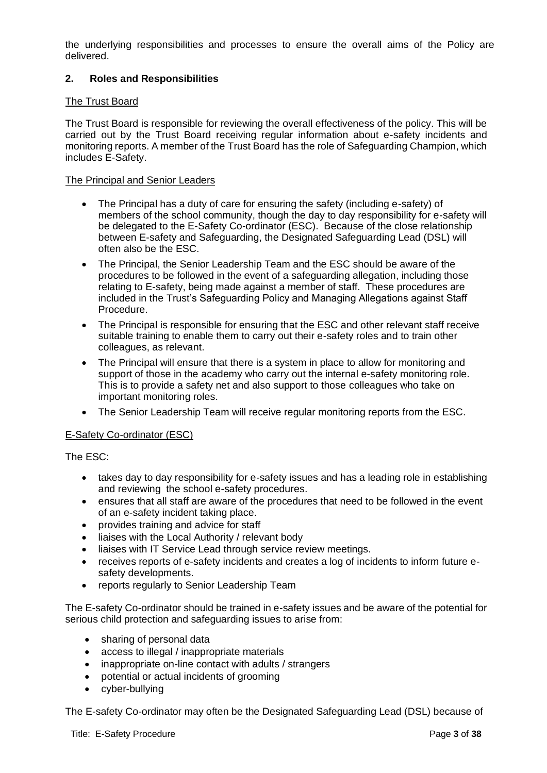the underlying responsibilities and processes to ensure the overall aims of the Policy are delivered.

# <span id="page-2-0"></span>**2. Roles and Responsibilities**

# The Trust Board

The Trust Board is responsible for reviewing the overall effectiveness of the policy. This will be carried out by the Trust Board receiving regular information about e-safety incidents and monitoring reports. A member of the Trust Board has the role of Safeguarding Champion, which includes E-Safety.

## The Principal and Senior Leaders

- The Principal has a duty of care for ensuring the safety (including e-safety) of members of the school community, though the day to day responsibility for e-safety will be delegated to the E-Safety Co-ordinator (ESC). Because of the close relationship between E-safety and Safeguarding, the Designated Safeguarding Lead (DSL) will often also be the ESC.
- The Principal, the Senior Leadership Team and the ESC should be aware of the procedures to be followed in the event of a safeguarding allegation, including those relating to E-safety, being made against a member of staff. These procedures are included in the Trust's Safeguarding Policy and Managing Allegations against Staff Procedure.
- The Principal is responsible for ensuring that the ESC and other relevant staff receive suitable training to enable them to carry out their e-safety roles and to train other colleagues, as relevant.
- The Principal will ensure that there is a system in place to allow for monitoring and support of those in the academy who carry out the internal e-safety monitoring role. This is to provide a safety net and also support to those colleagues who take on important monitoring roles.
- The Senior Leadership Team will receive regular monitoring reports from the ESC.

# E-Safety Co-ordinator (ESC)

The ESC:

- takes day to day responsibility for e-safety issues and has a leading role in establishing and reviewing the school e-safety procedures.
- ensures that all staff are aware of the procedures that need to be followed in the event of an e-safety incident taking place.
- provides training and advice for staff
- liaises with the Local Authority / relevant body
- liaises with IT Service Lead through service review meetings.
- receives reports of e-safety incidents and creates a log of incidents to inform future esafety developments.
- reports regularly to Senior Leadership Team

The E-safety Co-ordinator should be trained in e-safety issues and be aware of the potential for serious child protection and safeguarding issues to arise from:

- sharing of personal data
- access to illegal / inappropriate materials
- inappropriate on-line contact with adults / strangers
- potential or actual incidents of grooming
- cyber-bullying

The E-safety Co-ordinator may often be the Designated Safeguarding Lead (DSL) because of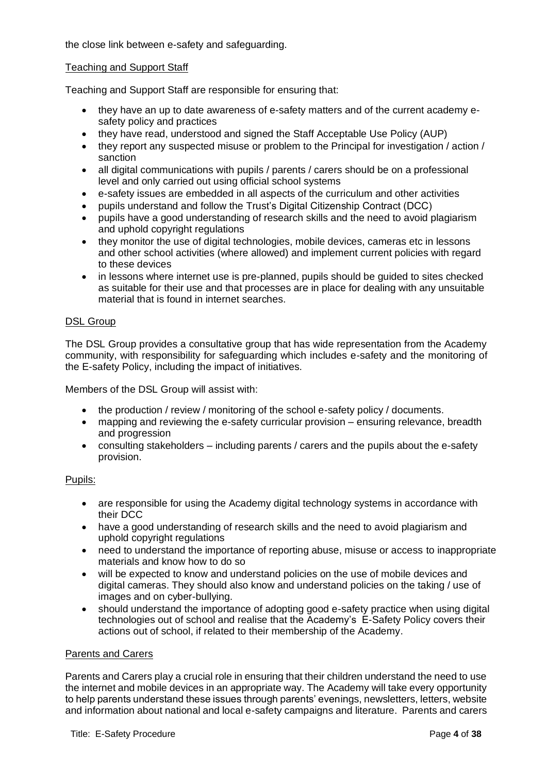the close link between e-safety and safeguarding.

#### Teaching and Support Staff

Teaching and Support Staff are responsible for ensuring that:

- they have an up to date awareness of e-safety matters and of the current academy esafety policy and practices
- they have read, understood and signed the Staff Acceptable Use Policy (AUP)
- they report any suspected misuse or problem to the Principal for investigation / action / sanction
- all digital communications with pupils / parents / carers should be on a professional level and only carried out using official school systems
- e-safety issues are embedded in all aspects of the curriculum and other activities
- pupils understand and follow the Trust's Digital Citizenship Contract (DCC)
- pupils have a good understanding of research skills and the need to avoid plagiarism and uphold copyright regulations
- they monitor the use of digital technologies, mobile devices, cameras etc in lessons and other school activities (where allowed) and implement current policies with regard to these devices
- in lessons where internet use is pre-planned, pupils should be guided to sites checked as suitable for their use and that processes are in place for dealing with any unsuitable material that is found in internet searches.

#### DSL Group

The DSL Group provides a consultative group that has wide representation from the Academy community, with responsibility for safeguarding which includes e-safety and the monitoring of the E-safety Policy, including the impact of initiatives.

Members of the DSL Group will assist with:

- the production / review / monitoring of the school e-safety policy / documents.
- mapping and reviewing the e-safety curricular provision ensuring relevance, breadth and progression
- consulting stakeholders including parents / carers and the pupils about the e-safety provision.

#### Pupils:

- are responsible for using the Academy digital technology systems in accordance with their DCC
- have a good understanding of research skills and the need to avoid plagiarism and uphold copyright regulations
- need to understand the importance of reporting abuse, misuse or access to inappropriate materials and know how to do so
- will be expected to know and understand policies on the use of mobile devices and digital cameras. They should also know and understand policies on the taking / use of images and on cyber-bullying.
- should understand the importance of adopting good e-safety practice when using digital technologies out of school and realise that the Academy's E-Safety Policy covers their actions out of school, if related to their membership of the Academy.

#### Parents and Carers

Parents and Carers play a crucial role in ensuring that their children understand the need to use the internet and mobile devices in an appropriate way. The Academy will take every opportunity to help parents understand these issues through parents' evenings, newsletters, letters, website and information about national and local e-safety campaigns and literature. Parents and carers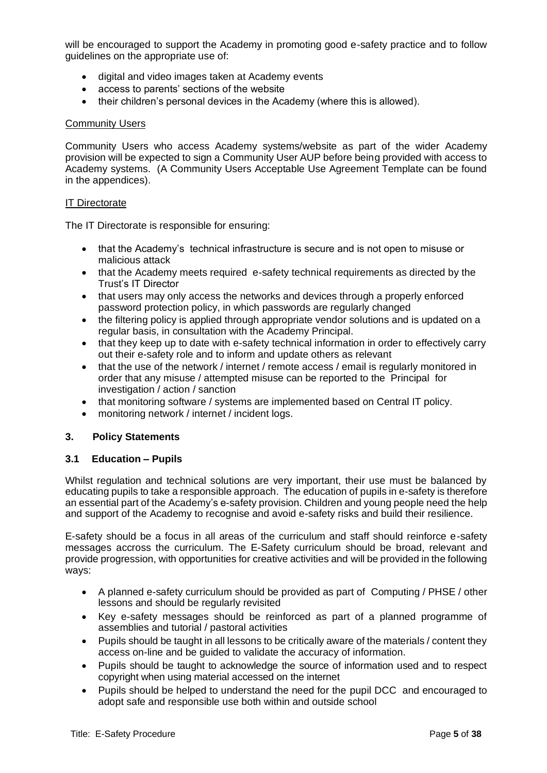will be encouraged to support the Academy in promoting good e-safety practice and to follow guidelines on the appropriate use of:

- digital and video images taken at Academy events
- access to parents' sections of the website
- their children's personal devices in the Academy (where this is allowed).

#### Community Users

Community Users who access Academy systems/website as part of the wider Academy provision will be expected to sign a Community User AUP before being provided with access to Academy systems. (A Community Users Acceptable Use Agreement Template can be found in the appendices).

#### IT Directorate

The IT Directorate is responsible for ensuring:

- that the Academy's technical infrastructure is secure and is not open to misuse or malicious attack
- that the Academy meets required e-safety technical requirements as directed by the Trust's IT Director
- that users may only access the networks and devices through a properly enforced password protection policy, in which passwords are regularly changed
- the filtering policy is applied through appropriate vendor solutions and is updated on a regular basis, in consultation with the Academy Principal.
- that they keep up to date with e-safety technical information in order to effectively carry out their e-safety role and to inform and update others as relevant
- that the use of the network / internet / remote access / email is regularly monitored in order that any misuse / attempted misuse can be reported to the Principal for investigation / action / sanction
- that monitoring software / systems are implemented based on Central IT policy.
- monitoring network / internet / incident logs.

#### <span id="page-4-0"></span>**3. Policy Statements**

#### **3.1 Education – Pupils**

Whilst regulation and technical solutions are very important, their use must be balanced by educating pupils to take a responsible approach. The education of pupils in e-safety is therefore an essential part of the Academy's e-safety provision. Children and young people need the help and support of the Academy to recognise and avoid e-safety risks and build their resilience.

E-safety should be a focus in all areas of the curriculum and staff should reinforce e-safety messages accross the curriculum. The E-Safety curriculum should be broad, relevant and provide progression, with opportunities for creative activities and will be provided in the following ways:

- A planned e-safety curriculum should be provided as part of Computing / PHSE / other lessons and should be regularly revisited
- Key e-safety messages should be reinforced as part of a planned programme of assemblies and tutorial / pastoral activities
- Pupils should be taught in all lessons to be critically aware of the materials / content they access on-line and be guided to validate the accuracy of information.
- Pupils should be taught to acknowledge the source of information used and to respect copyright when using material accessed on the internet
- Pupils should be helped to understand the need for the pupil DCC and encouraged to adopt safe and responsible use both within and outside school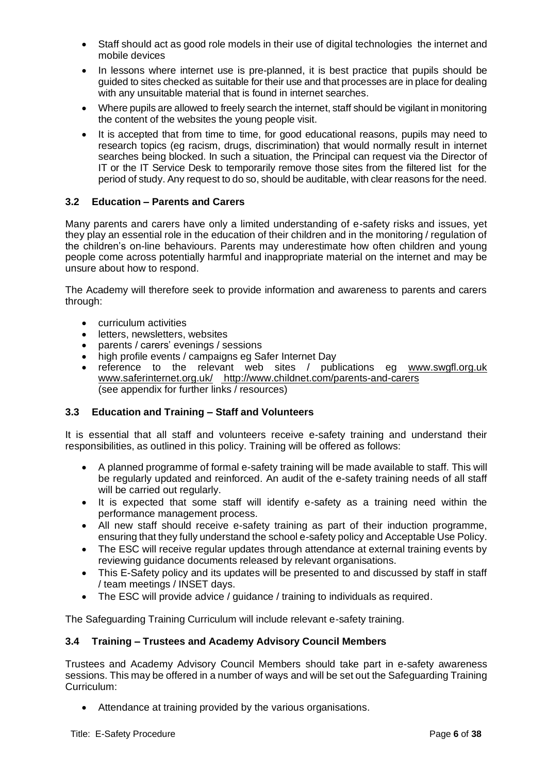- Staff should act as good role models in their use of digital technologies the internet and mobile devices
- In lessons where internet use is pre-planned, it is best practice that pupils should be guided to sites checked as suitable for their use and that processes are in place for dealing with any unsuitable material that is found in internet searches.
- Where pupils are allowed to freely search the internet, staff should be vigilant in monitoring the content of the websites the young people visit.
- It is accepted that from time to time, for good educational reasons, pupils may need to research topics (eg racism, drugs, discrimination) that would normally result in internet searches being blocked. In such a situation, the Principal can request via the Director of IT or the IT Service Desk to temporarily remove those sites from the filtered list for the period of study. Any request to do so, should be auditable, with clear reasons for the need.

# <span id="page-5-0"></span>**3.2 Education – Parents and Carers**

Many parents and carers have only a limited understanding of e-safety risks and issues, yet they play an essential role in the education of their children and in the monitoring / regulation of the children's on-line behaviours. Parents may underestimate how often children and young people come across potentially harmful and inappropriate material on the internet and may be unsure about how to respond.

The Academy will therefore seek to provide information and awareness to parents and carers through:

- curriculum activities
- letters, newsletters, websites
- parents / carers' evenings / sessions
- high profile events / campaigns eg Safer Internet Day
- reference to the relevant web sites / publications eg [www.swgfl.org.uk](http://www.swgfl.org.uk/) [www.saferinternet.org.uk/](http://www.saferinternet.org.uk/) <http://www.childnet.com/parents-and-carers> (see appendix for further links / resources)

# <span id="page-5-1"></span>**3.3 Education and Training – Staff and Volunteers**

It is essential that all staff and volunteers receive e-safety training and understand their responsibilities, as outlined in this policy. Training will be offered as follows:

- A planned programme of formal e-safety training will be made available to staff. This will be regularly updated and reinforced. An audit of the e-safety training needs of all staff will be carried out regularly.
- It is expected that some staff will identify e-safety as a training need within the performance management process.
- All new staff should receive e-safety training as part of their induction programme, ensuring that they fully understand the school e-safety policy and Acceptable Use Policy.
- The ESC will receive regular updates through attendance at external training events by reviewing guidance documents released by relevant organisations.
- This E-Safety policy and its updates will be presented to and discussed by staff in staff / team meetings / INSET days.
- The ESC will provide advice / guidance / training to individuals as required.

The Safeguarding Training Curriculum will include relevant e-safety training.

# <span id="page-5-2"></span>**3.4 Training – Trustees and Academy Advisory Council Members**

Trustees and Academy Advisory Council Members should take part in e-safety awareness sessions. This may be offered in a number of ways and will be set out the Safeguarding Training Curriculum:

• Attendance at training provided by the various organisations.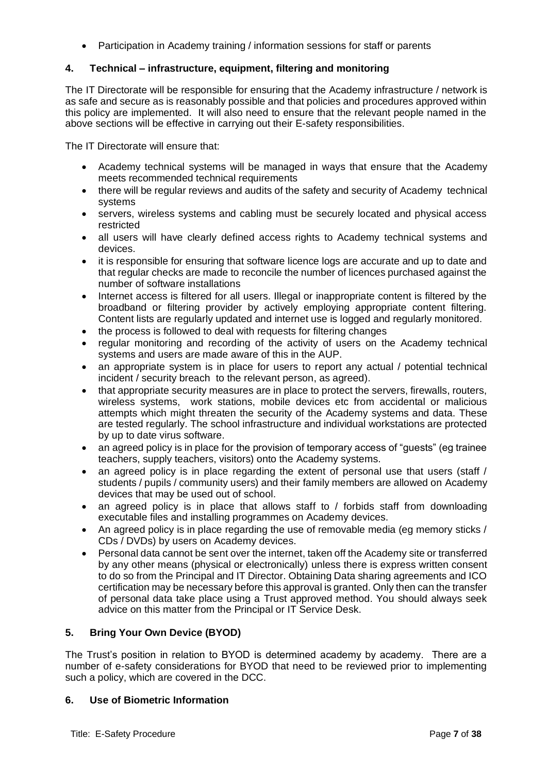• Participation in Academy training / information sessions for staff or parents

# <span id="page-6-0"></span>**4. Technical – infrastructure, equipment, filtering and monitoring**

The IT Directorate will be responsible for ensuring that the Academy infrastructure / network is as safe and secure as is reasonably possible and that policies and procedures approved within this policy are implemented. It will also need to ensure that the relevant people named in the above sections will be effective in carrying out their E-safety responsibilities.

The IT Directorate will ensure that:

- Academy technical systems will be managed in ways that ensure that the Academy meets recommended technical requirements
- there will be regular reviews and audits of the safety and security of Academy technical systems
- servers, wireless systems and cabling must be securely located and physical access restricted
- all users will have clearly defined access rights to Academy technical systems and devices.
- it is responsible for ensuring that software licence logs are accurate and up to date and that regular checks are made to reconcile the number of licences purchased against the number of software installations
- Internet access is filtered for all users. Illegal or inappropriate content is filtered by the broadband or filtering provider by actively employing appropriate content filtering. Content lists are regularly updated and internet use is logged and regularly monitored.
- the process is followed to deal with requests for filtering changes
- regular monitoring and recording of the activity of users on the Academy technical systems and users are made aware of this in the AUP.
- an appropriate system is in place for users to report any actual / potential technical incident / security breach to the relevant person, as agreed).
- that appropriate security measures are in place to protect the servers, firewalls, routers, wireless systems, work stations, mobile devices etc from accidental or malicious attempts which might threaten the security of the Academy systems and data. These are tested regularly. The school infrastructure and individual workstations are protected by up to date virus software.
- an agreed policy is in place for the provision of temporary access of "guests" (eg trainee teachers, supply teachers, visitors) onto the Academy systems.
- an agreed policy is in place regarding the extent of personal use that users (staff / students / pupils / community users) and their family members are allowed on Academy devices that may be used out of school.
- an agreed policy is in place that allows staff to / forbids staff from downloading executable files and installing programmes on Academy devices.
- An agreed policy is in place regarding the use of removable media (eg memory sticks / CDs / DVDs) by users on Academy devices.
- Personal data cannot be sent over the internet, taken off the Academy site or transferred by any other means (physical or electronically) unless there is express written consent to do so from the Principal and IT Director. Obtaining Data sharing agreements and ICO certification may be necessary before this approval is granted. Only then can the transfer of personal data take place using a Trust approved method. You should always seek advice on this matter from the Principal or IT Service Desk.

# <span id="page-6-1"></span>**5. Bring Your Own Device (BYOD)**

The Trust's position in relation to BYOD is determined academy by academy. There are a number of e-safety considerations for BYOD that need to be reviewed prior to implementing such a policy, which are covered in the DCC.

# <span id="page-6-2"></span>**6. Use of Biometric Information**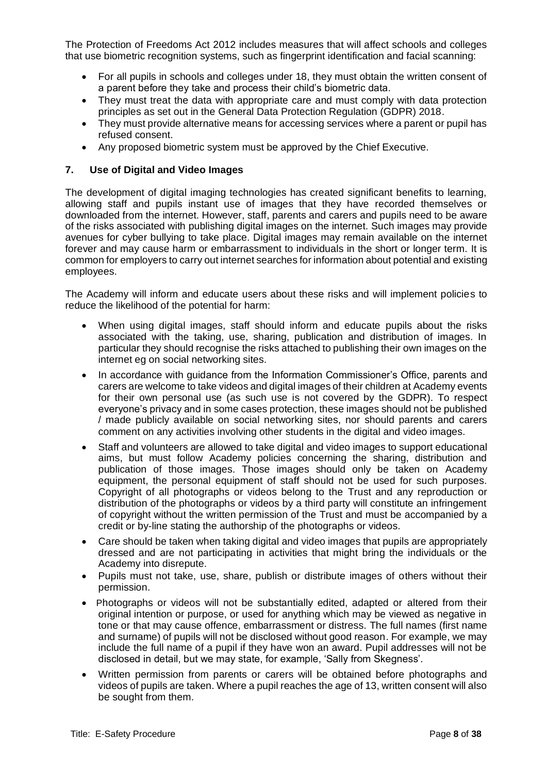The Protection of Freedoms Act 2012 includes measures that will affect schools and colleges that use biometric recognition systems, such as fingerprint identification and facial scanning:

- For all pupils in schools and colleges under 18, they must obtain the written consent of a parent before they take and process their child's biometric data.
- They must treat the data with appropriate care and must comply with data protection principles as set out in the General Data Protection Regulation (GDPR) 2018.
- They must provide alternative means for accessing services where a parent or pupil has refused consent.
- Any proposed biometric system must be approved by the Chief Executive.

#### <span id="page-7-0"></span>**7. Use of Digital and Video Images**

The development of digital imaging technologies has created significant benefits to learning, allowing staff and pupils instant use of images that they have recorded themselves or downloaded from the internet. However, staff, parents and carers and pupils need to be aware of the risks associated with publishing digital images on the internet. Such images may provide avenues for cyber bullying to take place. Digital images may remain available on the internet forever and may cause harm or embarrassment to individuals in the short or longer term. It is common for employers to carry out internet searches for information about potential and existing employees.

The Academy will inform and educate users about these risks and will implement policies to reduce the likelihood of the potential for harm:

- When using digital images, staff should inform and educate pupils about the risks associated with the taking, use, sharing, publication and distribution of images. In particular they should recognise the risks attached to publishing their own images on the internet eg on social networking sites.
- In accordance with guidance from the Information Commissioner's Office, parents and carers are welcome to take videos and digital images of their children at Academy events for their own personal use (as such use is not covered by the GDPR). To respect everyone's privacy and in some cases protection, these images should not be published / made publicly available on social networking sites, nor should parents and carers comment on any activities involving other students in the digital and video images.
- Staff and volunteers are allowed to take digital and video images to support educational aims, but must follow Academy policies concerning the sharing, distribution and publication of those images. Those images should only be taken on Academy equipment, the personal equipment of staff should not be used for such purposes. Copyright of all photographs or videos belong to the Trust and any reproduction or distribution of the photographs or videos by a third party will constitute an infringement of copyright without the written permission of the Trust and must be accompanied by a credit or by-line stating the authorship of the photographs or videos.
- Care should be taken when taking digital and video images that pupils are appropriately dressed and are not participating in activities that might bring the individuals or the Academy into disrepute.
- Pupils must not take, use, share, publish or distribute images of others without their permission.
- Photographs or videos will not be substantially edited, adapted or altered from their original intention or purpose, or used for anything which may be viewed as negative in tone or that may cause offence, embarrassment or distress. The full names (first name and surname) of pupils will not be disclosed without good reason. For example, we may include the full name of a pupil if they have won an award. Pupil addresses will not be disclosed in detail, but we may state, for example, 'Sally from Skegness'.
- Written permission from parents or carers will be obtained before photographs and videos of pupils are taken. Where a pupil reaches the age of 13, written consent will also be sought from them.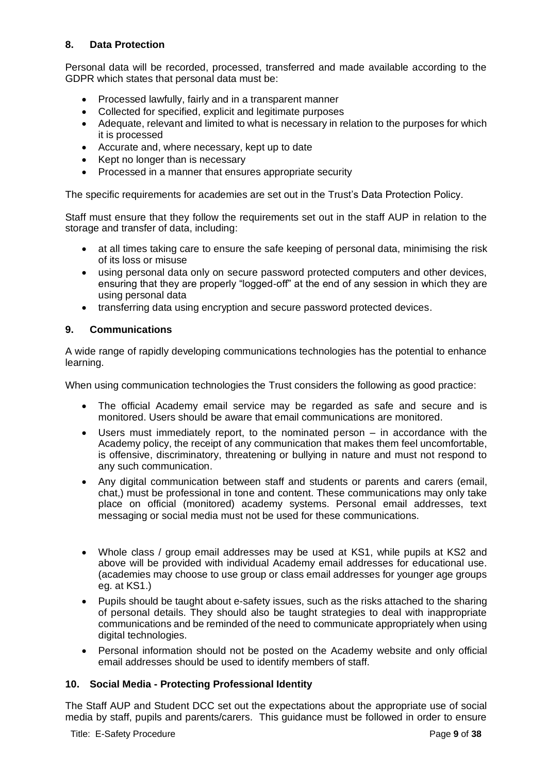# <span id="page-8-0"></span>**8. Data Protection**

Personal data will be recorded, processed, transferred and made available according to the GDPR which states that personal data must be:

- Processed lawfully, fairly and in a transparent manner
- Collected for specified, explicit and legitimate purposes
- Adequate, relevant and limited to what is necessary in relation to the purposes for which it is processed
- Accurate and, where necessary, kept up to date
- Kept no longer than is necessary
- Processed in a manner that ensures appropriate security

The specific requirements for academies are set out in the Trust's Data Protection Policy.

Staff must ensure that they follow the requirements set out in the staff AUP in relation to the storage and transfer of data, including:

- at all times taking care to ensure the safe keeping of personal data, minimising the risk of its loss or misuse
- using personal data only on secure password protected computers and other devices, ensuring that they are properly "logged-off" at the end of any session in which they are using personal data
- transferring data using encryption and secure password protected devices.

# <span id="page-8-1"></span>**9. Communications**

A wide range of rapidly developing communications technologies has the potential to enhance learning.

When using communication technologies the Trust considers the following as good practice:

- The official Academy email service may be regarded as safe and secure and is monitored. Users should be aware that email communications are monitored.
- Users must immediately report, to the nominated person in accordance with the Academy policy, the receipt of any communication that makes them feel uncomfortable, is offensive, discriminatory, threatening or bullying in nature and must not respond to any such communication.
- Any digital communication between staff and students or parents and carers (email, chat,) must be professional in tone and content. These communications may only take place on official (monitored) academy systems. Personal email addresses, text messaging or social media must not be used for these communications.
- Whole class / group email addresses may be used at KS1, while pupils at KS2 and above will be provided with individual Academy email addresses for educational use. (academies may choose to use group or class email addresses for younger age groups eg. at KS1.)
- Pupils should be taught about e-safety issues, such as the risks attached to the sharing of personal details. They should also be taught strategies to deal with inappropriate communications and be reminded of the need to communicate appropriately when using digital technologies.
- Personal information should not be posted on the Academy website and only official email addresses should be used to identify members of staff.

# <span id="page-8-2"></span>**10. Social Media - Protecting Professional Identity**

The Staff AUP and Student DCC set out the expectations about the appropriate use of social media by staff, pupils and parents/carers. This guidance must be followed in order to ensure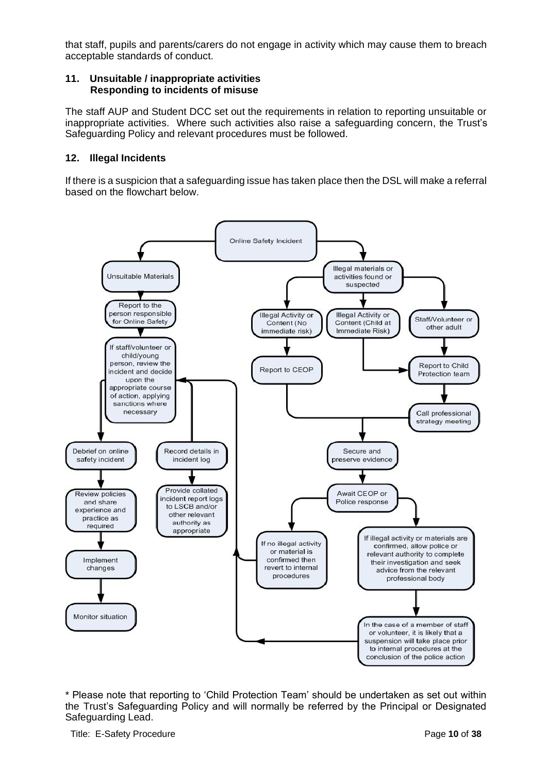that staff, pupils and parents/carers do not engage in activity which may cause them to breach acceptable standards of conduct.

#### <span id="page-9-0"></span>**11. Unsuitable / inappropriate activities Responding to incidents of misuse**

The staff AUP and Student DCC set out the requirements in relation to reporting unsuitable or inappropriate activities. Where such activities also raise a safeguarding concern, the Trust's Safeguarding Policy and relevant procedures must be followed.

## <span id="page-9-1"></span>**12. Illegal Incidents**

If there is a suspicion that a safeguarding issue has taken place then the DSL will make a referral based on the flowchart below.



\* Please note that reporting to 'Child Protection Team' should be undertaken as set out within the Trust's Safeguarding Policy and will normally be referred by the Principal or Designated Safeguarding Lead.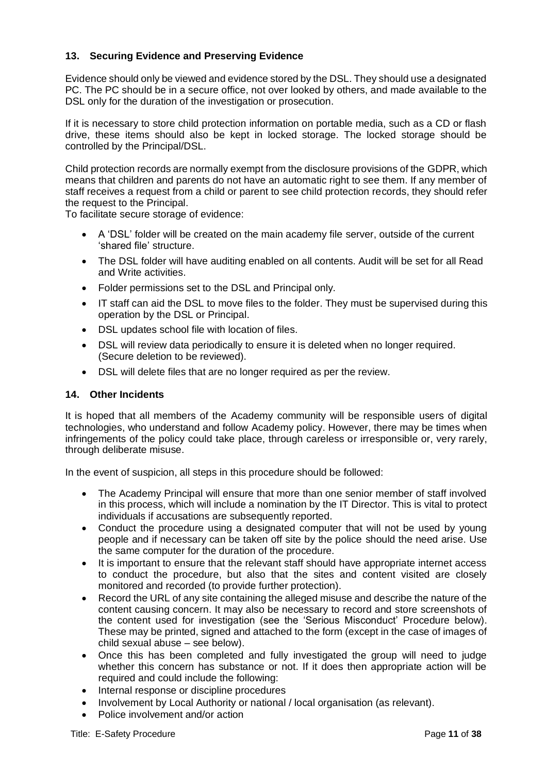# <span id="page-10-0"></span>**13. Securing Evidence and Preserving Evidence**

Evidence should only be viewed and evidence stored by the DSL. They should use a designated PC. The PC should be in a secure office, not over looked by others, and made available to the DSL only for the duration of the investigation or prosecution.

If it is necessary to store child protection information on portable media, such as a CD or flash drive, these items should also be kept in locked storage. The locked storage should be controlled by the Principal/DSL.

Child protection records are normally exempt from the disclosure provisions of the GDPR, which means that children and parents do not have an automatic right to see them. If any member of staff receives a request from a child or parent to see child protection records, they should refer the request to the Principal.

To facilitate secure storage of evidence:

- A 'DSL' folder will be created on the main academy file server, outside of the current 'shared file' structure.
- The DSL folder will have auditing enabled on all contents. Audit will be set for all Read and Write activities.
- Folder permissions set to the DSL and Principal only.
- IT staff can aid the DSL to move files to the folder. They must be supervised during this operation by the DSL or Principal.
- DSL updates school file with location of files.
- DSL will review data periodically to ensure it is deleted when no longer required. (Secure deletion to be reviewed).
- DSL will delete files that are no longer required as per the review.

#### <span id="page-10-1"></span>**14. Other Incidents**

It is hoped that all members of the Academy community will be responsible users of digital technologies, who understand and follow Academy policy. However, there may be times when infringements of the policy could take place, through careless or irresponsible or, very rarely, through deliberate misuse.

In the event of suspicion, all steps in this procedure should be followed:

- The Academy Principal will ensure that more than one senior member of staff involved in this process, which will include a nomination by the IT Director. This is vital to protect individuals if accusations are subsequently reported.
- Conduct the procedure using a designated computer that will not be used by young people and if necessary can be taken off site by the police should the need arise. Use the same computer for the duration of the procedure.
- It is important to ensure that the relevant staff should have appropriate internet access to conduct the procedure, but also that the sites and content visited are closely monitored and recorded (to provide further protection).
- Record the URL of any site containing the alleged misuse and describe the nature of the content causing concern. It may also be necessary to record and store screenshots of the content used for investigation (see the 'Serious Misconduct' Procedure below). These may be printed, signed and attached to the form (except in the case of images of child sexual abuse – see below).
- Once this has been completed and fully investigated the group will need to judge whether this concern has substance or not. If it does then appropriate action will be required and could include the following:
- Internal response or discipline procedures
- Involvement by Local Authority or national / local organisation (as relevant).
- Police involvement and/or action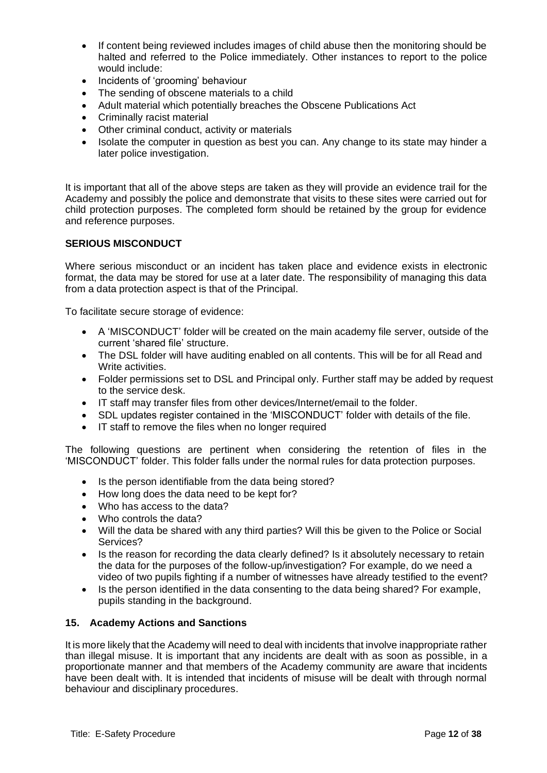- If content being reviewed includes images of child abuse then the monitoring should be halted and referred to the Police immediately. Other instances to report to the police would include:
- Incidents of 'grooming' behaviour
- The sending of obscene materials to a child
- Adult material which potentially breaches the Obscene Publications Act
- Criminally racist material
- Other criminal conduct, activity or materials
- Isolate the computer in question as best you can. Any change to its state may hinder a later police investigation.

It is important that all of the above steps are taken as they will provide an evidence trail for the Academy and possibly the police and demonstrate that visits to these sites were carried out for child protection purposes. The completed form should be retained by the group for evidence and reference purposes.

#### **SERIOUS MISCONDUCT**

Where serious misconduct or an incident has taken place and evidence exists in electronic format, the data may be stored for use at a later date. The responsibility of managing this data from a data protection aspect is that of the Principal.

To facilitate secure storage of evidence:

- A 'MISCONDUCT' folder will be created on the main academy file server, outside of the current 'shared file' structure.
- The DSL folder will have auditing enabled on all contents. This will be for all Read and Write activities.
- Folder permissions set to DSL and Principal only. Further staff may be added by request to the service desk.
- IT staff may transfer files from other devices/Internet/email to the folder.
- SDL updates register contained in the 'MISCONDUCT' folder with details of the file.
- IT staff to remove the files when no longer required

The following questions are pertinent when considering the retention of files in the 'MISCONDUCT' folder. This folder falls under the normal rules for data protection purposes.

- Is the person identifiable from the data being stored?
- How long does the data need to be kept for?
- Who has access to the data?
- Who controls the data?
- Will the data be shared with any third parties? Will this be given to the Police or Social Services?
- Is the reason for recording the data clearly defined? Is it absolutely necessary to retain the data for the purposes of the follow-up/investigation? For example, do we need a video of two pupils fighting if a number of witnesses have already testified to the event?
- Is the person identified in the data consenting to the data being shared? For example, pupils standing in the background.

#### <span id="page-11-0"></span>**15. Academy Actions and Sanctions**

It is more likely that the Academy will need to deal with incidents that involve inappropriate rather than illegal misuse. It is important that any incidents are dealt with as soon as possible, in a proportionate manner and that members of the Academy community are aware that incidents have been dealt with. It is intended that incidents of misuse will be dealt with through normal behaviour and disciplinary procedures.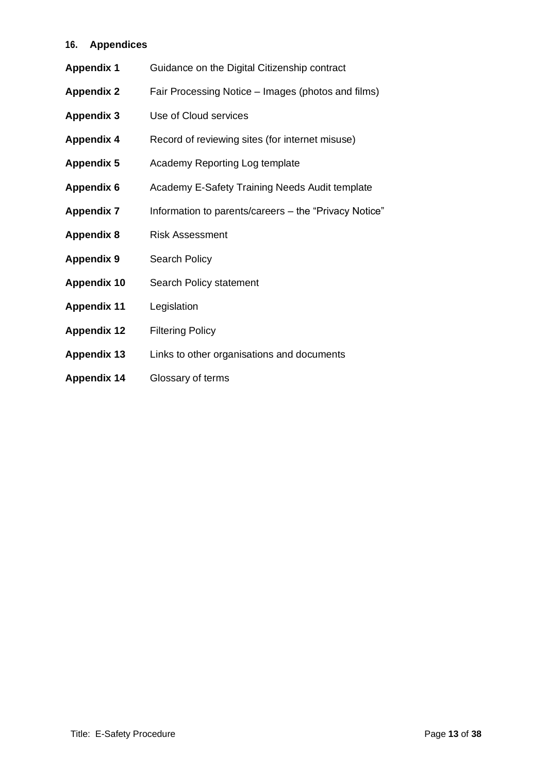# <span id="page-12-0"></span>**16. Appendices**

| <b>Appendix 1</b>  | Guidance on the Digital Citizenship contract          |
|--------------------|-------------------------------------------------------|
| <b>Appendix 2</b>  | Fair Processing Notice - Images (photos and films)    |
| <b>Appendix 3</b>  | Use of Cloud services                                 |
| <b>Appendix 4</b>  | Record of reviewing sites (for internet misuse)       |
| <b>Appendix 5</b>  | Academy Reporting Log template                        |
| <b>Appendix 6</b>  | Academy E-Safety Training Needs Audit template        |
| <b>Appendix 7</b>  | Information to parents/careers - the "Privacy Notice" |
| <b>Appendix 8</b>  | <b>Risk Assessment</b>                                |
| <b>Appendix 9</b>  | <b>Search Policy</b>                                  |
| <b>Appendix 10</b> | Search Policy statement                               |
| <b>Appendix 11</b> | Legislation                                           |
| <b>Appendix 12</b> | <b>Filtering Policy</b>                               |
| <b>Appendix 13</b> | Links to other organisations and documents            |
| <b>Appendix 14</b> | Glossary of terms                                     |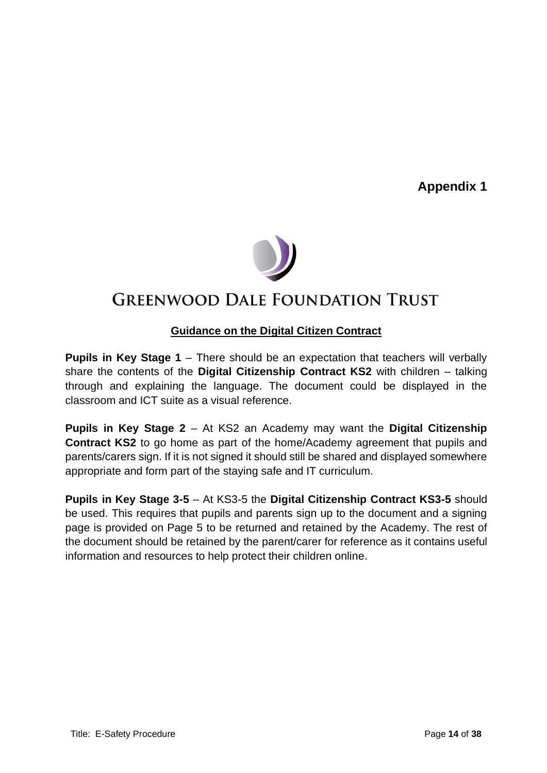

# **GREENWOOD DALE FOUNDATION TRUST**

# **Guidance on the Digital Citizen Contract**

**Pupils in Key Stage 1** – There should be an expectation that teachers will verbally share the contents of the **Digital Citizenship Contract KS2** with children – talking through and explaining the language. The document could be displayed in the classroom and ICT suite as a visual reference.

**Pupils in Key Stage 2** – At KS2 an Academy may want the **Digital Citizenship Contract KS2** to go home as part of the home/Academy agreement that pupils and parents/carers sign. If it is not signed it should still be shared and displayed somewhere appropriate and form part of the staying safe and IT curriculum.

**Pupils in Key Stage 3-5** – At KS3-5 the **Digital Citizenship Contract KS3-5** should be used. This requires that pupils and parents sign up to the document and a signing page is provided on Page 5 to be returned and retained by the Academy. The rest of the document should be retained by the parent/carer for reference as it contains useful information and resources to help protect their children online.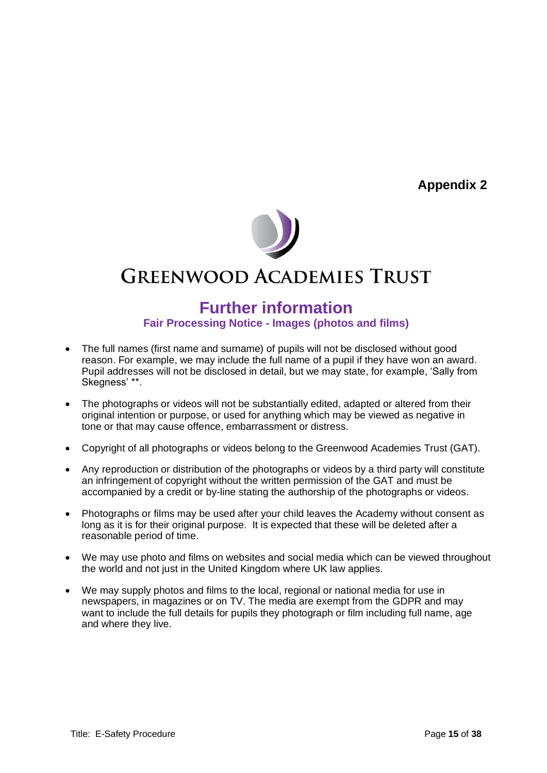

# **GREENWOOD ACADEMIES TRUST**

# **Further information Fair Processing Notice - Images (photos and films)**

- The full names (first name and surname) of pupils will not be disclosed without good reason. For example, we may include the full name of a pupil if they have won an award. Pupil addresses will not be disclosed in detail, but we may state, for example, 'Sally from Skegness' \*\*.
- The photographs or videos will not be substantially edited, adapted or altered from their original intention or purpose, or used for anything which may be viewed as negative in tone or that may cause offence, embarrassment or distress.
- Copyright of all photographs or videos belong to the Greenwood Academies Trust (GAT).
- Any reproduction or distribution of the photographs or videos by a third party will constitute an infringement of copyright without the written permission of the GAT and must be accompanied by a credit or by-line stating the authorship of the photographs or videos.
- Photographs or films may be used after your child leaves the Academy without consent as long as it is for their original purpose. It is expected that these will be deleted after a reasonable period of time.
- We may use photo and films on websites and social media which can be viewed throughout the world and not just in the United Kingdom where UK law applies.
- We may supply photos and films to the local, regional or national media for use in newspapers, in magazines or on TV. The media are exempt from the GDPR and may want to include the full details for pupils they photograph or film including full name, age and where they live.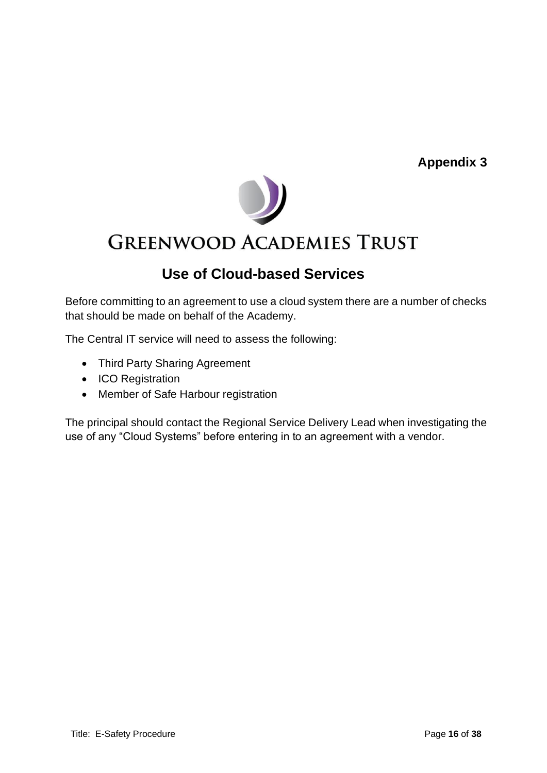

# **GREENWOOD ACADEMIES TRUST**

# **Use of Cloud-based Services**

Before committing to an agreement to use a cloud system there are a number of checks that should be made on behalf of the Academy.

The Central IT service will need to assess the following:

- Third Party Sharing Agreement
- ICO Registration
- Member of Safe Harbour registration

The principal should contact the Regional Service Delivery Lead when investigating the use of any "Cloud Systems" before entering in to an agreement with a vendor.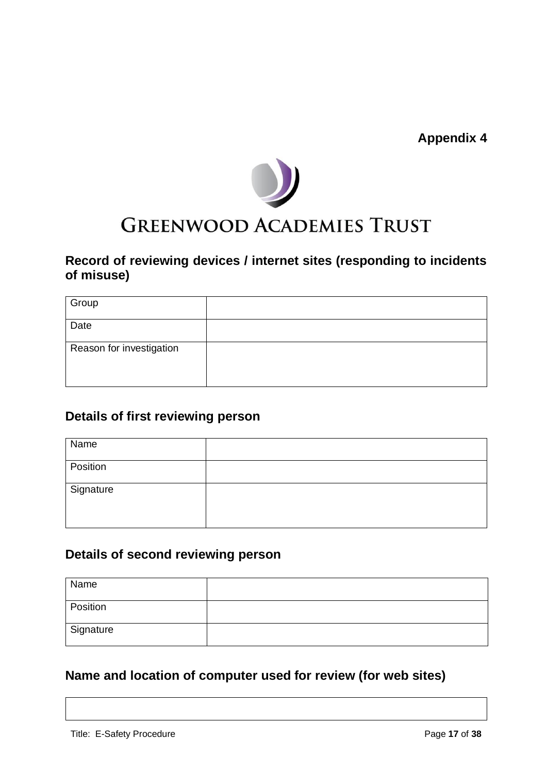

# **GREENWOOD ACADEMIES TRUST**

# **Record of reviewing devices / internet sites (responding to incidents of misuse)**

| Group                    |  |
|--------------------------|--|
| Date                     |  |
| Reason for investigation |  |
|                          |  |

# **Details of first reviewing person**

| Name      |  |
|-----------|--|
| Position  |  |
| Signature |  |
|           |  |

# **Details of second reviewing person**

| Name      |  |
|-----------|--|
| Position  |  |
| Signature |  |

# **Name and location of computer used for review (for web sites)**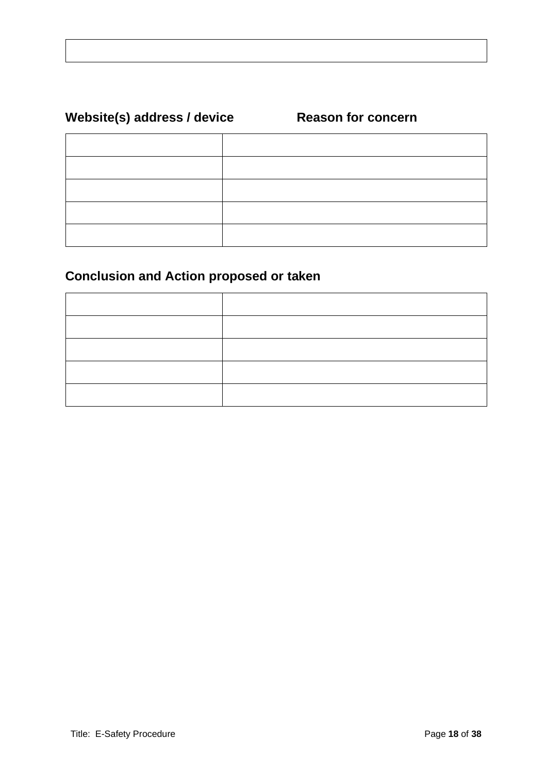# Website(s) address / device Reason for concern

# **Conclusion and Action proposed or taken**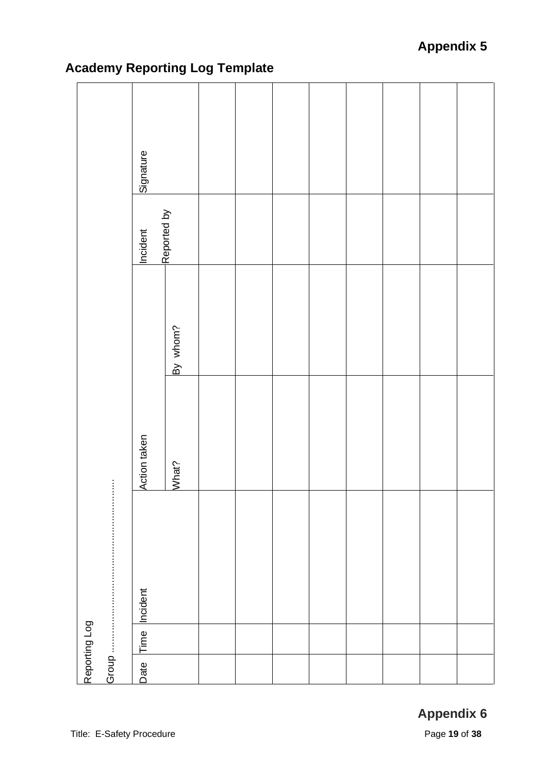|       | Reporting Log |               |              |          |             |           |  |
|-------|---------------|---------------|--------------|----------|-------------|-----------|--|
| Group |               |               | ł            |          |             |           |  |
| Date  |               | Time Incident | Action taken |          | Incident    | Signature |  |
|       |               |               | What?        | By whom? | Reported by |           |  |
|       |               |               |              |          |             |           |  |
|       |               |               |              |          |             |           |  |
|       |               |               |              |          |             |           |  |
|       |               |               |              |          |             |           |  |
|       |               |               |              |          |             |           |  |
|       |               |               |              |          |             |           |  |
|       |               |               |              |          |             |           |  |
|       |               |               |              |          |             |           |  |

# **Academy Reporting Log Template**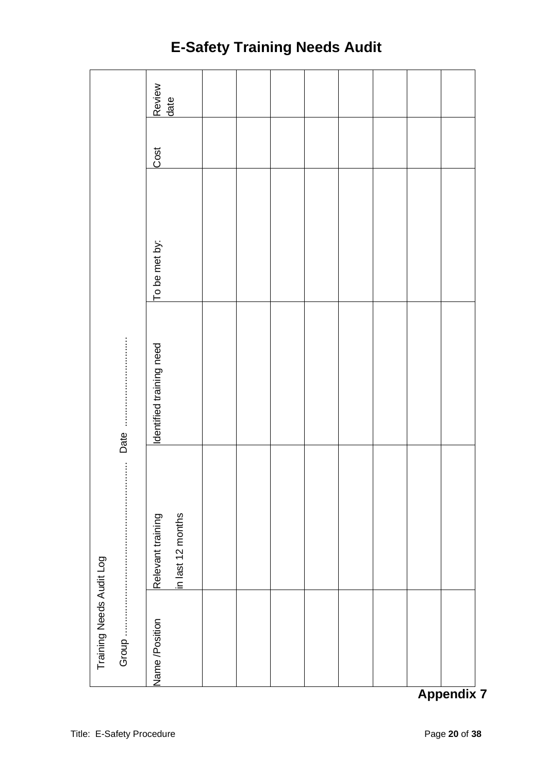|                          |       | Review<br>date<br>Cost<br>To be met by: |  |  |  |  |
|--------------------------|-------|-----------------------------------------|--|--|--|--|
|                          |       |                                         |  |  |  |  |
|                          |       |                                         |  |  |  |  |
|                          | Date. | Identified training need                |  |  |  |  |
|                          |       | in last 12 months<br>Relevant training  |  |  |  |  |
| Training Needs Audit Log | Group | Name /Position                          |  |  |  |  |

# **E-Safety Training Needs Audit**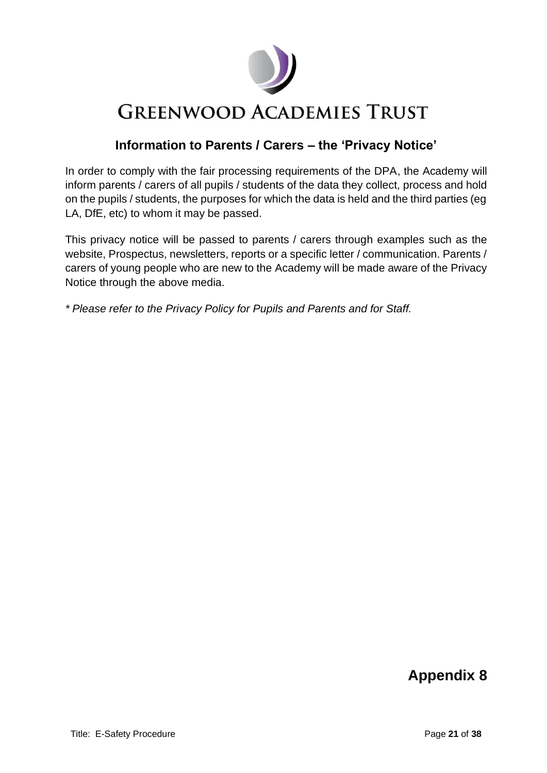

# **Information to Parents / Carers – the 'Privacy Notice'**

In order to comply with the fair processing requirements of the DPA, the Academy will inform parents / carers of all pupils / students of the data they collect, process and hold on the pupils / students, the purposes for which the data is held and the third parties (eg LA, DfE, etc) to whom it may be passed.

This privacy notice will be passed to parents / carers through examples such as the website, Prospectus, newsletters, reports or a specific letter / communication. Parents / carers of young people who are new to the Academy will be made aware of the Privacy Notice through the above media.

*\* Please refer to the Privacy Policy for Pupils and Parents and for Staff.*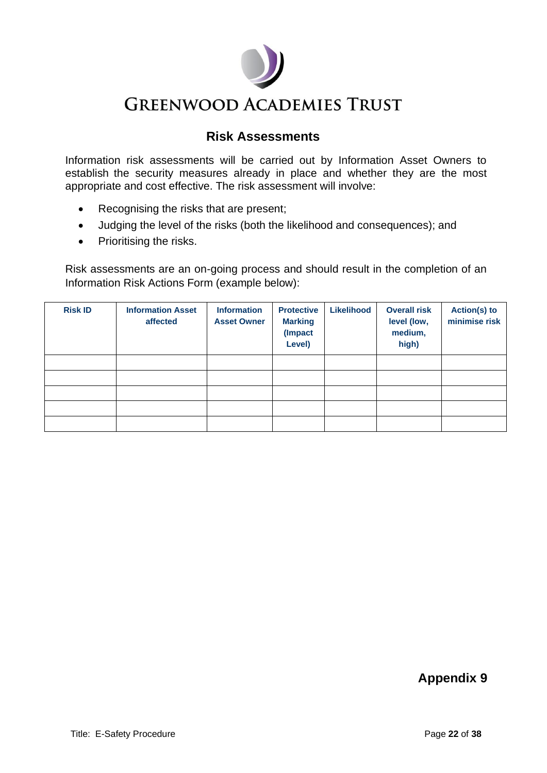# **Risk Assessments**

Information risk assessments will be carried out by Information Asset Owners to establish the security measures already in place and whether they are the most appropriate and cost effective. The risk assessment will involve:

- Recognising the risks that are present;
- Judging the level of the risks (both the likelihood and consequences); and
- Prioritising the risks.

Risk assessments are an on-going process and should result in the completion of an Information Risk Actions Form (example below):

| <b>Risk ID</b> | <b>Information Asset</b><br>affected | <b>Information</b><br><b>Asset Owner</b> | <b>Protective</b><br><b>Marking</b><br>(Impact<br>Level) | Likelihood | <b>Overall risk</b><br>level (low,<br>medium,<br>high) | Action(s) to<br>minimise risk |
|----------------|--------------------------------------|------------------------------------------|----------------------------------------------------------|------------|--------------------------------------------------------|-------------------------------|
|                |                                      |                                          |                                                          |            |                                                        |                               |
|                |                                      |                                          |                                                          |            |                                                        |                               |
|                |                                      |                                          |                                                          |            |                                                        |                               |
|                |                                      |                                          |                                                          |            |                                                        |                               |
|                |                                      |                                          |                                                          |            |                                                        |                               |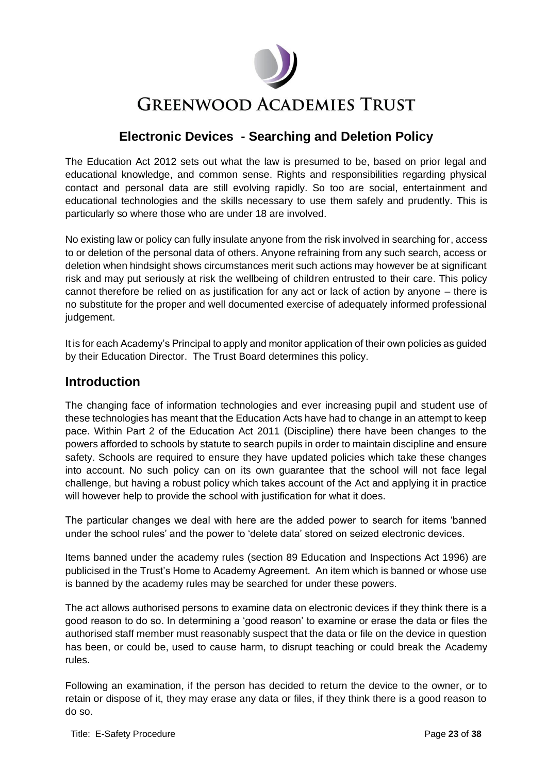

# **Electronic Devices - Searching and Deletion Policy**

The Education Act 2012 sets out what the law is presumed to be, based on prior legal and educational knowledge, and common sense. Rights and responsibilities regarding physical contact and personal data are still evolving rapidly. So too are social, entertainment and educational technologies and the skills necessary to use them safely and prudently. This is particularly so where those who are under 18 are involved.

No existing law or policy can fully insulate anyone from the risk involved in searching for, access to or deletion of the personal data of others. Anyone refraining from any such search, access or deletion when hindsight shows circumstances merit such actions may however be at significant risk and may put seriously at risk the wellbeing of children entrusted to their care. This policy cannot therefore be relied on as justification for any act or lack of action by anyone – there is no substitute for the proper and well documented exercise of adequately informed professional judgement.

It is for each Academy's Principal to apply and monitor application of their own policies as guided by their Education Director. The Trust Board determines this policy.

# **Introduction**

The changing face of information technologies and ever increasing pupil and student use of these technologies has meant that the Education Acts have had to change in an attempt to keep pace. Within Part 2 of the Education Act 2011 (Discipline) there have been changes to the powers afforded to schools by statute to search pupils in order to maintain discipline and ensure safety. Schools are required to ensure they have updated policies which take these changes into account. No such policy can on its own guarantee that the school will not face legal challenge, but having a robust policy which takes account of the Act and applying it in practice will however help to provide the school with justification for what it does.

The particular changes we deal with here are the added power to search for items 'banned under the school rules' and the power to 'delete data' stored on seized electronic devices.

Items banned under the academy rules (section 89 Education and Inspections Act 1996) are publicised in the Trust's Home to Academy Agreement. An item which is banned or whose use is banned by the academy rules may be searched for under these powers.

The act allows authorised persons to examine data on electronic devices if they think there is a good reason to do so. In determining a 'good reason' to examine or erase the data or files the authorised staff member must reasonably suspect that the data or file on the device in question has been, or could be, used to cause harm, to disrupt teaching or could break the Academy rules.

Following an examination, if the person has decided to return the device to the owner, or to retain or dispose of it, they may erase any data or files, if they think there is a good reason to do so.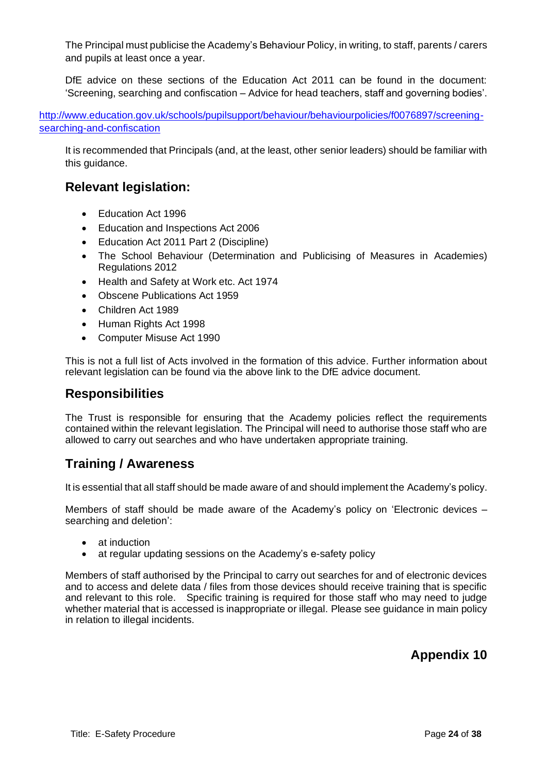The Principal must publicise the Academy's Behaviour Policy, in writing, to staff, parents / carers and pupils at least once a year.

DfE advice on these sections of the Education Act 2011 can be found in the document: 'Screening, searching and confiscation – Advice for head teachers, staff and governing bodies'.

[http://www.education.gov.uk/schools/pupilsupport/behaviour/behaviourpolicies/f0076897/screening](http://www.education.gov.uk/schools/pupilsupport/behaviour/behaviourpolicies/f0076897/screening-searching-and-confiscation)[searching-and-confiscation](http://www.education.gov.uk/schools/pupilsupport/behaviour/behaviourpolicies/f0076897/screening-searching-and-confiscation)

It is recommended that Principals (and, at the least, other senior leaders) should be familiar with this guidance.

# **Relevant legislation:**

- Education Act 1996
- Education and Inspections Act 2006
- Education Act 2011 Part 2 (Discipline)
- The School Behaviour (Determination and Publicising of Measures in Academies) Regulations 2012
- Health and Safety at Work etc. Act 1974
- Obscene Publications Act 1959
- Children Act 1989
- Human Rights Act 1998
- Computer Misuse Act 1990

This is not a full list of Acts involved in the formation of this advice. Further information about relevant legislation can be found via the above link to the DfE advice document.

# **Responsibilities**

The Trust is responsible for ensuring that the Academy policies reflect the requirements contained within the relevant legislation. The Principal will need to authorise those staff who are allowed to carry out searches and who have undertaken appropriate training.

# **Training / Awareness**

It is essential that all staff should be made aware of and should implement the Academy's policy.

Members of staff should be made aware of the Academy's policy on 'Electronic devices – searching and deletion':

- at induction
- at regular updating sessions on the Academy's e-safety policy

Members of staff authorised by the Principal to carry out searches for and of electronic devices and to access and delete data / files from those devices should receive training that is specific and relevant to this role. Specific training is required for those staff who may need to judge whether material that is accessed is inappropriate or illegal. Please see guidance in main policy in relation to illegal incidents.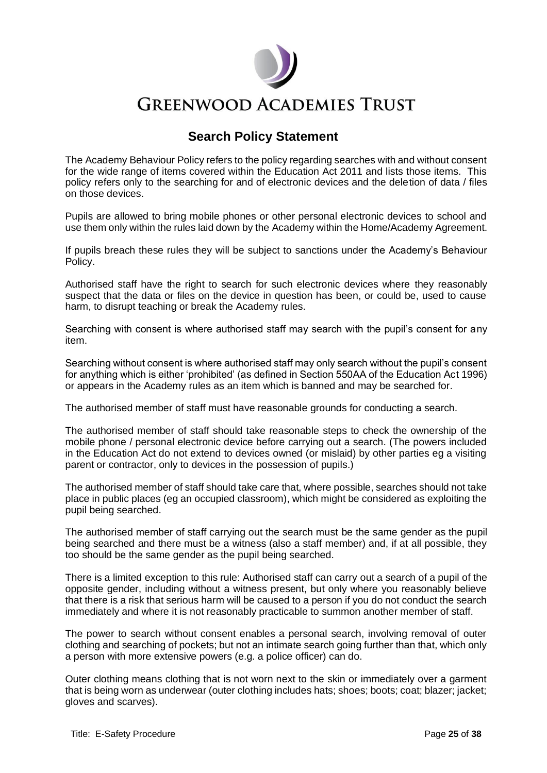

# **Search Policy Statement**

The Academy Behaviour Policy refers to the policy regarding searches with and without consent for the wide range of items covered within the Education Act 2011 and lists those items. This policy refers only to the searching for and of electronic devices and the deletion of data / files on those devices.

Pupils are allowed to bring mobile phones or other personal electronic devices to school and use them only within the rules laid down by the Academy within the Home/Academy Agreement.

If pupils breach these rules they will be subject to sanctions under the Academy's Behaviour Policy.

Authorised staff have the right to search for such electronic devices where they reasonably suspect that the data or files on the device in question has been, or could be, used to cause harm, to disrupt teaching or break the Academy rules.

Searching with consent is where authorised staff may search with the pupil's consent for any item.

Searching without consent is where authorised staff may only search without the pupil's consent for anything which is either 'prohibited' (as defined in Section 550AA of the Education Act 1996) or appears in the Academy rules as an item which is banned and may be searched for.

The authorised member of staff must have reasonable grounds for conducting a search.

The authorised member of staff should take reasonable steps to check the ownership of the mobile phone / personal electronic device before carrying out a search. (The powers included in the Education Act do not extend to devices owned (or mislaid) by other parties eg a visiting parent or contractor, only to devices in the possession of pupils.)

The authorised member of staff should take care that, where possible, searches should not take place in public places (eg an occupied classroom), which might be considered as exploiting the pupil being searched.

The authorised member of staff carrying out the search must be the same gender as the pupil being searched and there must be a witness (also a staff member) and, if at all possible, they too should be the same gender as the pupil being searched.

There is a limited exception to this rule: Authorised staff can carry out a search of a pupil of the opposite gender, including without a witness present, but only where you reasonably believe that there is a risk that serious harm will be caused to a person if you do not conduct the search immediately and where it is not reasonably practicable to summon another member of staff.

The power to search without consent enables a personal search, involving removal of outer clothing and searching of pockets; but not an intimate search going further than that, which only a person with more extensive powers (e.g. a police officer) can do.

Outer clothing means clothing that is not worn next to the skin or immediately over a garment that is being worn as underwear (outer clothing includes hats; shoes; boots; coat; blazer; jacket; gloves and scarves).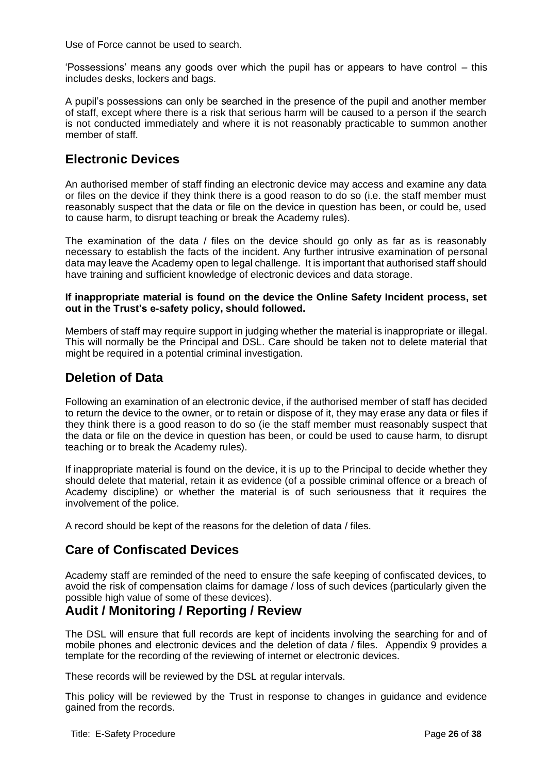Use of Force cannot be used to search.

'Possessions' means any goods over which the pupil has or appears to have control – this includes desks, lockers and bags.

A pupil's possessions can only be searched in the presence of the pupil and another member of staff, except where there is a risk that serious harm will be caused to a person if the search is not conducted immediately and where it is not reasonably practicable to summon another member of staff.

# **Electronic Devices**

An authorised member of staff finding an electronic device may access and examine any data or files on the device if they think there is a good reason to do so (i.e. the staff member must reasonably suspect that the data or file on the device in question has been, or could be, used to cause harm, to disrupt teaching or break the Academy rules).

The examination of the data / files on the device should go only as far as is reasonably necessary to establish the facts of the incident. Any further intrusive examination of personal data may leave the Academy open to legal challenge. It is important that authorised staff should have training and sufficient knowledge of electronic devices and data storage.

#### **If inappropriate material is found on the device the Online Safety Incident process, set out in the Trust's e-safety policy, should followed.**

Members of staff may require support in judging whether the material is inappropriate or illegal. This will normally be the Principal and DSL. Care should be taken not to delete material that might be required in a potential criminal investigation.

# **Deletion of Data**

Following an examination of an electronic device, if the authorised member of staff has decided to return the device to the owner, or to retain or dispose of it, they may erase any data or files if they think there is a good reason to do so (ie the staff member must reasonably suspect that the data or file on the device in question has been, or could be used to cause harm, to disrupt teaching or to break the Academy rules).

If inappropriate material is found on the device, it is up to the Principal to decide whether they should delete that material, retain it as evidence (of a possible criminal offence or a breach of Academy discipline) or whether the material is of such seriousness that it requires the involvement of the police.

A record should be kept of the reasons for the deletion of data / files.

# **Care of Confiscated Devices**

Academy staff are reminded of the need to ensure the safe keeping of confiscated devices, to avoid the risk of compensation claims for damage / loss of such devices (particularly given the possible high value of some of these devices).

# **Audit / Monitoring / Reporting / Review**

The DSL will ensure that full records are kept of incidents involving the searching for and of mobile phones and electronic devices and the deletion of data / files. Appendix 9 provides a template for the recording of the reviewing of internet or electronic devices.

These records will be reviewed by the DSL at regular intervals.

This policy will be reviewed by the Trust in response to changes in guidance and evidence gained from the records.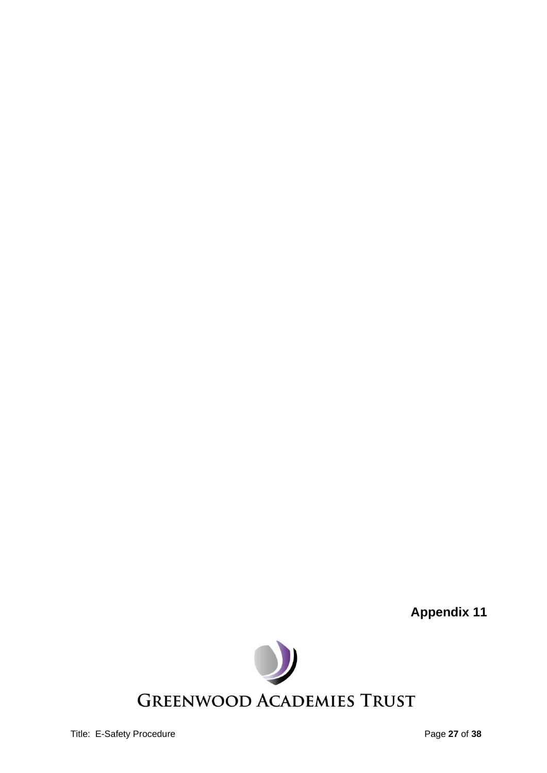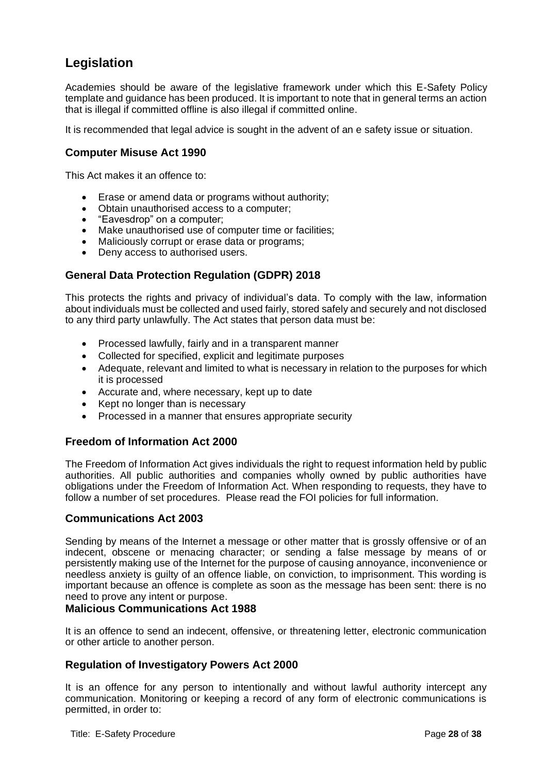# **Legislation**

Academies should be aware of the legislative framework under which this E-Safety Policy template and guidance has been produced. It is important to note that in general terms an action that is illegal if committed offline is also illegal if committed online.

It is recommended that legal advice is sought in the advent of an e safety issue or situation.

## **Computer Misuse Act 1990**

This Act makes it an offence to:

- Erase or amend data or programs without authority;
- Obtain unauthorised access to a computer;
- "Eavesdrop" on a computer;
- Make unauthorised use of computer time or facilities;
- Maliciously corrupt or erase data or programs;
- Deny access to authorised users.

# **General Data Protection Regulation (GDPR) 2018**

This protects the rights and privacy of individual's data. To comply with the law, information about individuals must be collected and used fairly, stored safely and securely and not disclosed to any third party unlawfully. The Act states that person data must be:

- Processed lawfully, fairly and in a transparent manner
- Collected for specified, explicit and legitimate purposes
- Adequate, relevant and limited to what is necessary in relation to the purposes for which it is processed
- Accurate and, where necessary, kept up to date
- Kept no longer than is necessary
- Processed in a manner that ensures appropriate security

# **Freedom of Information Act 2000**

The Freedom of Information Act gives individuals the right to request information held by public authorities. All public authorities and companies wholly owned by public authorities have obligations under the Freedom of Information Act. When responding to requests, they have to follow a number of set procedures. Please read the FOI policies for full information.

#### **Communications Act 2003**

Sending by means of the Internet a message or other matter that is grossly offensive or of an indecent, obscene or menacing character; or sending a false message by means of or persistently making use of the Internet for the purpose of causing annoyance, inconvenience or needless anxiety is guilty of an offence liable, on conviction, to imprisonment. This wording is important because an offence is complete as soon as the message has been sent: there is no need to prove any intent or purpose.

## **Malicious Communications Act 1988**

It is an offence to send an indecent, offensive, or threatening letter, electronic communication or other article to another person.

#### **Regulation of Investigatory Powers Act 2000**

It is an offence for any person to intentionally and without lawful authority intercept any communication. Monitoring or keeping a record of any form of electronic communications is permitted, in order to: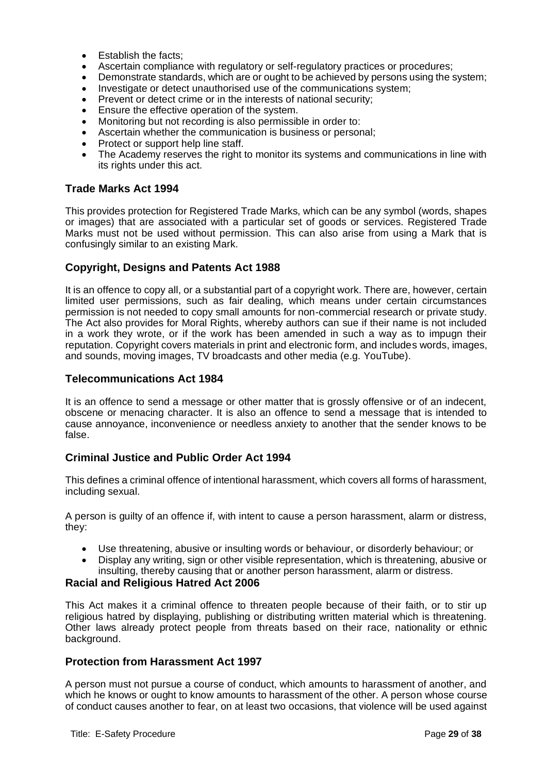- Establish the facts:
- Ascertain compliance with regulatory or self-regulatory practices or procedures;
- Demonstrate standards, which are or ought to be achieved by persons using the system;
- Investigate or detect unauthorised use of the communications system;
- Prevent or detect crime or in the interests of national security:
- Ensure the effective operation of the system.
- Monitoring but not recording is also permissible in order to:
- Ascertain whether the communication is business or personal;
- Protect or support help line staff.
- The Academy reserves the right to monitor its systems and communications in line with its rights under this act.

# **Trade Marks Act 1994**

This provides protection for Registered Trade Marks, which can be any symbol (words, shapes or images) that are associated with a particular set of goods or services. Registered Trade Marks must not be used without permission. This can also arise from using a Mark that is confusingly similar to an existing Mark.

# **Copyright, Designs and Patents Act 1988**

It is an offence to copy all, or a substantial part of a copyright work. There are, however, certain limited user permissions, such as fair dealing, which means under certain circumstances permission is not needed to copy small amounts for non-commercial research or private study. The Act also provides for Moral Rights, whereby authors can sue if their name is not included in a work they wrote, or if the work has been amended in such a way as to impugn their reputation. Copyright covers materials in print and electronic form, and includes words, images, and sounds, moving images, TV broadcasts and other media (e.g. YouTube).

# **Telecommunications Act 1984**

It is an offence to send a message or other matter that is grossly offensive or of an indecent, obscene or menacing character. It is also an offence to send a message that is intended to cause annoyance, inconvenience or needless anxiety to another that the sender knows to be false.

# **Criminal Justice and Public Order Act 1994**

This defines a criminal offence of intentional harassment, which covers all forms of harassment, including sexual.

A person is guilty of an offence if, with intent to cause a person harassment, alarm or distress, they:

- Use threatening, abusive or insulting words or behaviour, or disorderly behaviour; or
- Display any writing, sign or other visible representation, which is threatening, abusive or insulting, thereby causing that or another person harassment, alarm or distress.

# **Racial and Religious Hatred Act 2006**

This Act makes it a criminal offence to threaten people because of their faith, or to stir up religious hatred by displaying, publishing or distributing written material which is threatening. Other laws already protect people from threats based on their race, nationality or ethnic background.

# **Protection from Harassment Act 1997**

A person must not pursue a course of conduct, which amounts to harassment of another, and which he knows or ought to know amounts to harassment of the other. A person whose course of conduct causes another to fear, on at least two occasions, that violence will be used against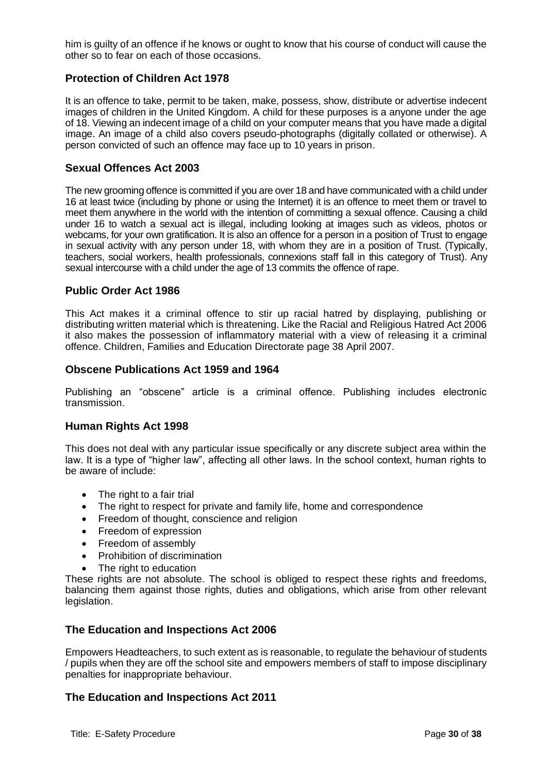him is guilty of an offence if he knows or ought to know that his course of conduct will cause the other so to fear on each of those occasions.

# **Protection of Children Act 1978**

It is an offence to take, permit to be taken, make, possess, show, distribute or advertise indecent images of children in the United Kingdom. A child for these purposes is a anyone under the age of 18. Viewing an indecent image of a child on your computer means that you have made a digital image. An image of a child also covers pseudo-photographs (digitally collated or otherwise). A person convicted of such an offence may face up to 10 years in prison.

#### **Sexual Offences Act 2003**

The new grooming offence is committed if you are over 18 and have communicated with a child under 16 at least twice (including by phone or using the Internet) it is an offence to meet them or travel to meet them anywhere in the world with the intention of committing a sexual offence. Causing a child under 16 to watch a sexual act is illegal, including looking at images such as videos, photos or webcams, for your own gratification. It is also an offence for a person in a position of Trust to engage in sexual activity with any person under 18, with whom they are in a position of Trust. (Typically, teachers, social workers, health professionals, connexions staff fall in this category of Trust). Any sexual intercourse with a child under the age of 13 commits the offence of rape.

#### **Public Order Act 1986**

This Act makes it a criminal offence to stir up racial hatred by displaying, publishing or distributing written material which is threatening. Like the Racial and Religious Hatred Act 2006 it also makes the possession of inflammatory material with a view of releasing it a criminal offence. Children, Families and Education Directorate page 38 April 2007.

#### **Obscene Publications Act 1959 and 1964**

Publishing an "obscene" article is a criminal offence. Publishing includes electronic transmission.

#### **Human Rights Act 1998**

This does not deal with any particular issue specifically or any discrete subject area within the law. It is a type of "higher law", affecting all other laws. In the school context, human rights to be aware of include:

- The right to a fair trial
- The right to respect for private and family life, home and correspondence
- Freedom of thought, conscience and religion
- Freedom of expression
- Freedom of assembly
- Prohibition of discrimination
- The right to education

These rights are not absolute. The school is obliged to respect these rights and freedoms, balancing them against those rights, duties and obligations, which arise from other relevant legislation.

#### **The Education and Inspections Act 2006**

Empowers Headteachers, to such extent as is reasonable, to regulate the behaviour of students / pupils when they are off the school site and empowers members of staff to impose disciplinary penalties for inappropriate behaviour.

#### **The Education and Inspections Act 2011**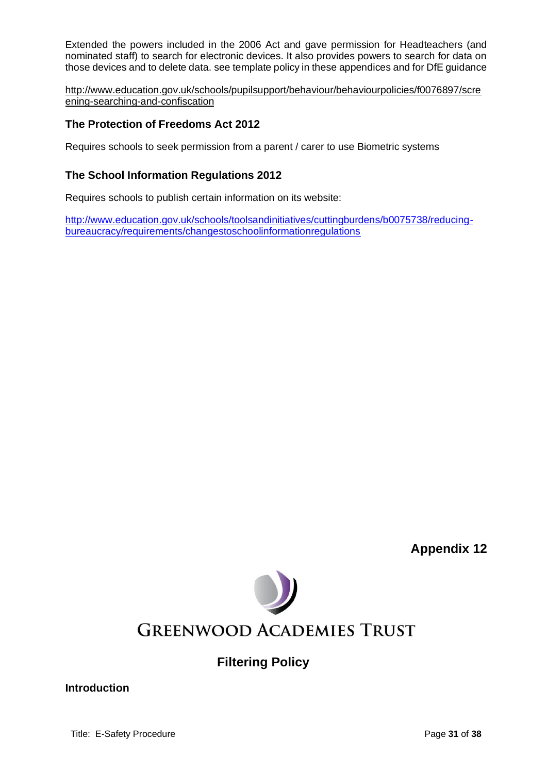Extended the powers included in the 2006 Act and gave permission for Headteachers (and nominated staff) to search for electronic devices. It also provides powers to search for data on those devices and to delete data. see template policy in these appendices and for DfE guidance

[http://www.education.gov.uk/schools/pupilsupport/behaviour/behaviourpolicies/f0076897/scre](http://www.education.gov.uk/schools/pupilsupport/behaviour/behaviourpolicies/f0076897/screening-searching-and-confiscation) [ening-searching-and-confiscation](http://www.education.gov.uk/schools/pupilsupport/behaviour/behaviourpolicies/f0076897/screening-searching-and-confiscation)

# **The Protection of Freedoms Act 2012**

Requires schools to seek permission from a parent / carer to use Biometric systems

# **The School Information Regulations 2012**

Requires schools to publish certain information on its website:

[http://www.education.gov.uk/schools/toolsandinitiatives/cuttingburdens/b0075738/reducing](http://www.education.gov.uk/schools/toolsandinitiatives/cuttingburdens/b0075738/reducing-bureaucracy/requirements/changestoschoolinformationregulations)[bureaucracy/requirements/changestoschoolinformationregulations](http://www.education.gov.uk/schools/toolsandinitiatives/cuttingburdens/b0075738/reducing-bureaucracy/requirements/changestoschoolinformationregulations)

**Appendix 12**



**Filtering Policy**

**Introduction**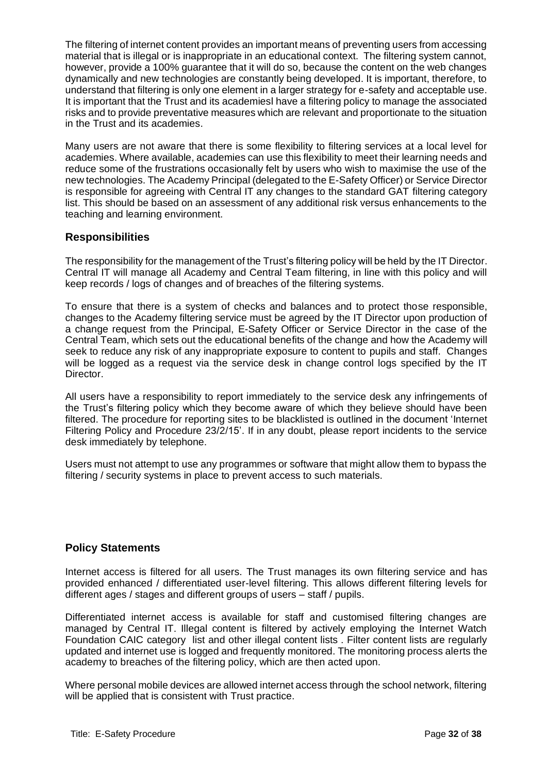The filtering of internet content provides an important means of preventing users from accessing material that is illegal or is inappropriate in an educational context. The filtering system cannot, however, provide a 100% guarantee that it will do so, because the content on the web changes dynamically and new technologies are constantly being developed. It is important, therefore, to understand that filtering is only one element in a larger strategy for e-safety and acceptable use. It is important that the Trust and its academiesl have a filtering policy to manage the associated risks and to provide preventative measures which are relevant and proportionate to the situation in the Trust and its academies.

Many users are not aware that there is some flexibility to filtering services at a local level for academies. Where available, academies can use this flexibility to meet their learning needs and reduce some of the frustrations occasionally felt by users who wish to maximise the use of the new technologies. The Academy Principal (delegated to the E-Safety Officer) or Service Director is responsible for agreeing with Central IT any changes to the standard GAT filtering category list. This should be based on an assessment of any additional risk versus enhancements to the teaching and learning environment.

# **Responsibilities**

The responsibility for the management of the Trust's filtering policy will be held by the IT Director. Central IT will manage all Academy and Central Team filtering, in line with this policy and will keep records / logs of changes and of breaches of the filtering systems.

To ensure that there is a system of checks and balances and to protect those responsible, changes to the Academy filtering service must be agreed by the IT Director upon production of a change request from the Principal, E-Safety Officer or Service Director in the case of the Central Team, which sets out the educational benefits of the change and how the Academy will seek to reduce any risk of any inappropriate exposure to content to pupils and staff. Changes will be logged as a request via the service desk in change control logs specified by the IT Director.

All users have a responsibility to report immediately to the service desk any infringements of the Trust's filtering policy which they become aware of which they believe should have been filtered. The procedure for reporting sites to be blacklisted is outlined in the document 'Internet Filtering Policy and Procedure 23/2/15'. If in any doubt, please report incidents to the service desk immediately by telephone.

Users must not attempt to use any programmes or software that might allow them to bypass the filtering / security systems in place to prevent access to such materials.

# **Policy Statements**

Internet access is filtered for all users. The Trust manages its own filtering service and has provided enhanced / differentiated user-level filtering. This allows different filtering levels for different ages / stages and different groups of users – staff / pupils.

Differentiated internet access is available for staff and customised filtering changes are managed by Central IT. Illegal content is filtered by actively employing the Internet Watch Foundation CAIC category list and other illegal content lists . Filter content lists are regularly updated and internet use is logged and frequently monitored. The monitoring process alerts the academy to breaches of the filtering policy, which are then acted upon.

Where personal mobile devices are allowed internet access through the school network, filtering will be applied that is consistent with Trust practice.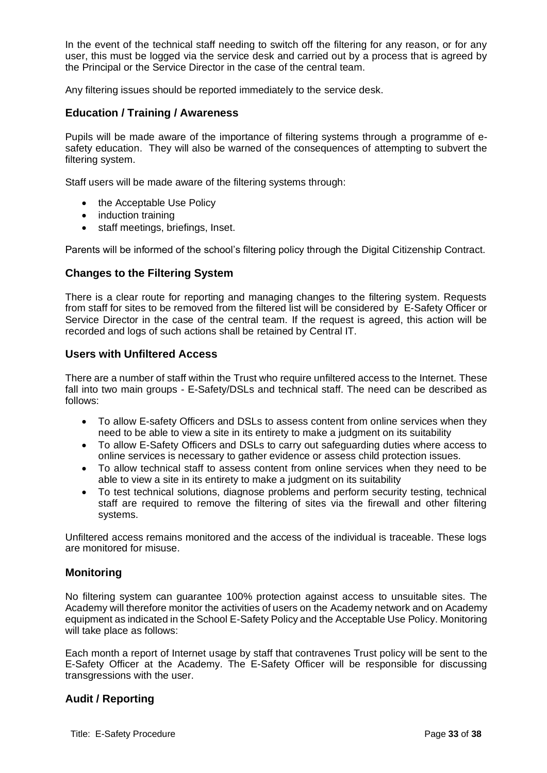In the event of the technical staff needing to switch off the filtering for any reason, or for any user, this must be logged via the service desk and carried out by a process that is agreed by the Principal or the Service Director in the case of the central team.

Any filtering issues should be reported immediately to the service desk.

# **Education / Training / Awareness**

Pupils will be made aware of the importance of filtering systems through a programme of esafety education. They will also be warned of the consequences of attempting to subvert the filtering system.

Staff users will be made aware of the filtering systems through:

- the Acceptable Use Policy
- induction training
- staff meetings, briefings, Inset.

Parents will be informed of the school's filtering policy through the Digital Citizenship Contract.

#### **Changes to the Filtering System**

There is a clear route for reporting and managing changes to the filtering system. Requests from staff for sites to be removed from the filtered list will be considered by E-Safety Officer or Service Director in the case of the central team. If the request is agreed, this action will be recorded and logs of such actions shall be retained by Central IT.

#### **Users with Unfiltered Access**

There are a number of staff within the Trust who require unfiltered access to the Internet. These fall into two main groups - E-Safety/DSLs and technical staff. The need can be described as follows:

- To allow E-safety Officers and DSLs to assess content from online services when they need to be able to view a site in its entirety to make a judgment on its suitability
- To allow E-Safety Officers and DSLs to carry out safeguarding duties where access to online services is necessary to gather evidence or assess child protection issues.
- To allow technical staff to assess content from online services when they need to be able to view a site in its entirety to make a judgment on its suitability
- To test technical solutions, diagnose problems and perform security testing, technical staff are required to remove the filtering of sites via the firewall and other filtering systems.

Unfiltered access remains monitored and the access of the individual is traceable. These logs are monitored for misuse.

#### **Monitoring**

No filtering system can guarantee 100% protection against access to unsuitable sites. The Academy will therefore monitor the activities of users on the Academy network and on Academy equipment as indicated in the School E-Safety Policy and the Acceptable Use Policy. Monitoring will take place as follows:

Each month a report of Internet usage by staff that contravenes Trust policy will be sent to the E-Safety Officer at the Academy. The E-Safety Officer will be responsible for discussing transgressions with the user.

# **Audit / Reporting**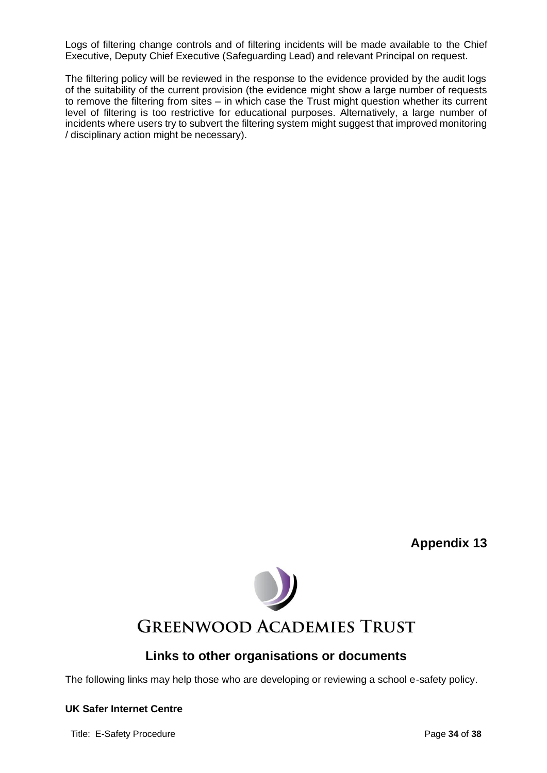Logs of filtering change controls and of filtering incidents will be made available to the Chief Executive, Deputy Chief Executive (Safeguarding Lead) and relevant Principal on request.

The filtering policy will be reviewed in the response to the evidence provided by the audit logs of the suitability of the current provision (the evidence might show a large number of requests to remove the filtering from sites – in which case the Trust might question whether its current level of filtering is too restrictive for educational purposes. Alternatively, a large number of incidents where users try to subvert the filtering system might suggest that improved monitoring / disciplinary action might be necessary).

**Appendix 13**



# **Links to other organisations or documents**

The following links may help those who are developing or reviewing a school e-safety policy.

#### **UK Safer Internet Centre**

Title: E-Safety Procedure **Page 14** of **38**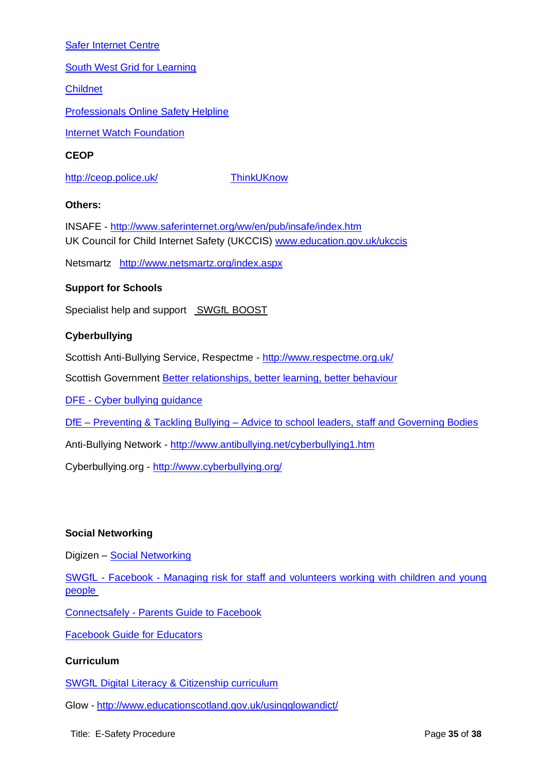# [Safer Internet Centre](http://www.saferinternet.org.uk/)

[South West Grid for Learning](http://www.swgfl.org.uk/Staying-Safe)

[Childnet](http://www.childnet-int.org/) 

[Professionals Online Safety Helpline](http://www.saferinternet.org.uk/about/helpline)

[Internet Watch Foundation](https://www.iwf.org.uk/)

#### **CEOP**

<http://ceop.police.uk/>[ThinkUKnow](http://www.thinkuknow.co.uk/)

#### **Others:**

INSAFE - <http://www.saferinternet.org/ww/en/pub/insafe/index.htm> UK Council for Child Internet Safety (UKCCIS) [www.education.gov.uk/ukccis](http://www.education.gov.uk/ukccis)

Netsmartz <http://www.netsmartz.org/index.aspx>

# **Support for Schools**

Specialist help and support [SWGfL BOOST](http://www.swgfl.org.uk/boost)

#### **Cyberbullying**

Scottish Anti-Bullying Service, Respectme - <http://www.respectme.org.uk/>

Scottish Government [Better relationships, better learning, better behaviour](http://www.scotland.gov.uk/Publications/2013/03/7388)

DFE - [Cyber bullying](http://digizen.org/downloads/cyberbullyingOverview.pdf) guidance

DfE – Preventing & Tackling Bullying – [Advice to school leaders, staff and Governing Bodies](http://webarchive.nationalarchives.gov.uk/20130401151715/https:/www.education.gov.uk/publications/standard/AllPublications/Page1/DFE-00062-2011)

Anti-Bullying Network - <http://www.antibullying.net/cyberbullying1.htm>

Cyberbullying.org - <http://www.cyberbullying.org/>

# **Social Networking**

Digizen – [Social Networking](http://digizen.org/socialnetworking/)

SWGfL - Facebook - [Managing risk for staff and volunteers working with children and young](http://360safe.org.uk/Files/Documents/facebook-6)  [people](http://360safe.org.uk/Files/Documents/facebook-6)

Connectsafely - [Parents Guide to Facebook](http://www.connectsafely.org/Safety-Advice-Articles/facebook-for-parents.html)

[Facebook Guide for Educators](http://www.360safe.org.uk/Files/Documents/Facebook-Guide-for-Educators.aspx)

# **Curriculum**

[SWGfL Digital Literacy & Citizenship curriculum](http://www.swgfl.org.uk/digitalliteracy)

Glow - <http://www.educationscotland.gov.uk/usingglowandict/>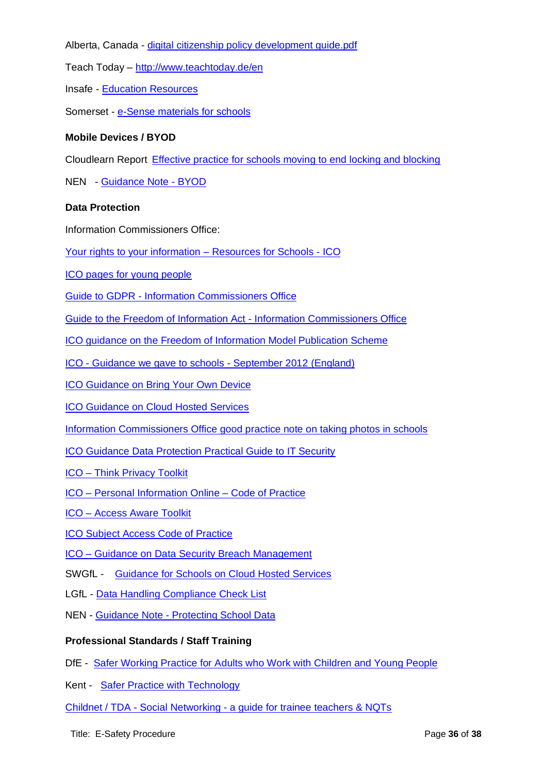Alberta, Canada - digital [citizenship policy development guide.pdf](http://eric.ed.gov/?id=ED544723)

Teach Today – <http://www.teachtoday.de/en>

Insafe - [Education Resources](http://lreforschools.eun.org/web/guest/insafe)

Somerset - [e-Sense materials for schools](http://www.somersetelim.org/)

# **Mobile Devices / BYOD**

Cloudlearn Report [Effective practice for schools moving to end locking and blocking](http://www.360safe.org.uk/Files/Documents/Cloudlearn_Report-end-to-locking-and-blocking.aspx)

NEN - [Guidance Note -](http://www.360safe.org.uk/Files/Documents/NEN_Guidance_Note_5_BYOD.aspx) BYOD

# **Data Protection**

Information Commissioners Office:

[Your rights to your information –](http://www.ico.org.uk/schools) Resources for Schools - ICO

[ICO pages for young people](https://ico.org.uk/for-organisations/education/)

Guide to GDPR - [Information Commissioners Office](https://ico.org.uk/for-organisations/guide-to-the-general-data-protection-regulation-gdpr/)

[Guide to the Freedom of Information Act -](https://ico.org.uk/for-organisations/guide-to-freedom-of-information/) Information Commissioners Office

[ICO guidance on the Freedom of Information Model Publication Scheme](https://ico.org.uk/for-organisations/guide-to-freedom-of-information/publication-scheme/)

ICO - [Guidance we gave to schools -](http://www.360safe.org.uk/Files/Documents/ICO-guidance-for-schools-Sept-2012.aspx) September 2012 (England)

[ICO Guidance on Bring Your Own Device](http://www.360safe.org.uk/Files/Documents/ico_bring_your_own_device_byod_guidance.aspx)

[ICO Guidance on Cloud Hosted Services](https://ico.org.uk/for-the-public/online/cloud-computing/)

[Information Commissioners Office good practice note on taking photos in schools](http://360safe.org.uk/Files/Documents/ICO-Good-Practice-Note-on-taking-photos-in-schools)

[ICO Guidance Data Protection Practical Guide to IT Security](http://www.ico.org.uk/for_organisations/data_protection/~/media/documents/library/Data_Protection/Practical_application/it_security_practical_guide.ashx)

- ICO [Think Privacy Toolkit](http://www.ico.org.uk/for_organisations/training/think-privacy-toolkit)
- ICO [Personal Information Online –](http://www.ico.org.uk/for_organisations/guidance_index/~/media/documents/library/Data_Protection/Detailed_specialist_guides/personal_information_online_cop.ashx) Code of Practice
- ICO [Access Aware Toolkit](https://ico.org.uk/media/for-organisations/access-aware/2435/access-aware-toolkit-health.pdf)

[ICO Subject Access Code of Practice](http://www.ico.org.uk/for_organisations/data_protection/~/media/documents/library/Data_Protection/Detailed_specialist_guides/subject-access-code-of-practice.PDF)

ICO – [Guidance on Data Security Breach Management](http://www.ico.org.uk/for_organisations/data_protection/~/media/documents/library/Data_Protection/Practical_application/guidance_on_data_security_breach_management.pdf)

- SWGfL [Guidance for Schools on Cloud Hosted Services](http://www.360safe.org.uk/Files/Documents/SWGfL-guidance-on-Cloud-hosting.aspx)
- LGfL [Data Handling Compliance Check List](http://files.lgfl.net/esafety/guides/check%20list%20for%20data%20handling%20best%20practice_jan2013.pdf)
- NEN Guidance Note [Protecting School Data](http://www.360safe.org.uk/Files/Documents/NEN_Guidance_Note_1_protecting_school_data.aspx)

# **Professional Standards / Staff Training**

DfE - [Safer Working Practice for Adults who Work with Children and Young People](http://360safe.org.uk/Files/Documents/Extracts-from-Guidance-for-Safer-Working-Practice-)

Kent - [Safer Practice with Technology](http://www.kenttrustweb.org.uk/UserFiles/CW/File/Advisory_Service_ICT/E-Safety/SaferPracticeWithTechnology-260509.pdf)

Childnet / TDA - [Social Networking -](http://360safe.org.uk/Files/Documents/ChildnetSNSleaflet(3)) a guide for trainee teachers & NQTs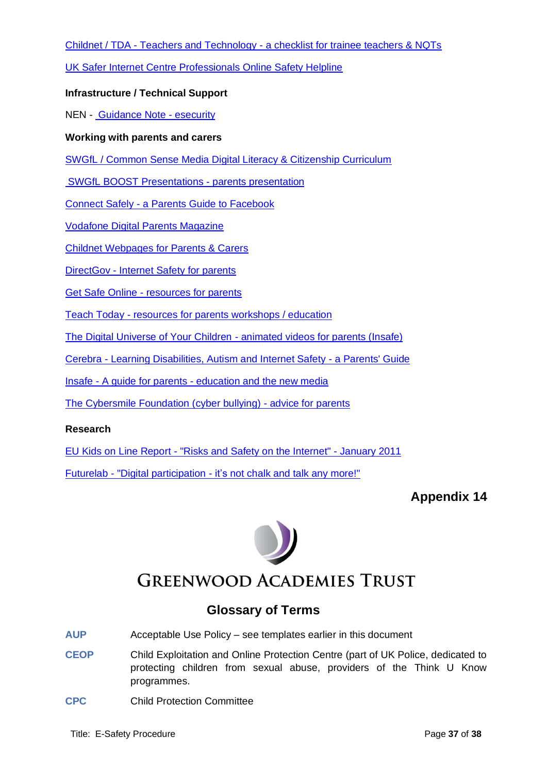Childnet / TDA - Teachers and Technology - [a checklist for trainee teachers & NQTs](http://360safe.org.uk/Files/Documents/Childnettechnologyleaflet(4))

[UK Safer Internet Centre Professionals Online Safety Helpline](http://www.saferinternet.org.uk/helpline)

# **Infrastructure / Technical Support**

NEN - [Guidance Note -](http://www.360safe.org.uk/Files/Documents/NEN_Guidance_Note_4_esecurity.aspx) esecurity

# **Working with parents and carers**

[SWGfL / Common Sense Media Digital Literacy & Citizenship Curriculum](http://www.digital-literacy.org.uk/Home.aspx)

[SWGfL BOOST Presentations -](http://www.swgfl.org.uk/boost) parents presentation

Connect Safely - [a Parents Guide to Facebook](http://www.fbparents.org/)

[Vodafone Digital Parents Magazine](http://parents.vodafone.com/)

[Childnet Webpages for Parents & Carers](http://www.childnet.com/parents-and-carers)

DirectGov - [Internet Safety for parents](http://www.direct.gov.uk/en/Parents/Yourchildshealthandsafety/Internetsafety/index.htm)

Get Safe Online - [resources for parents](http://www.getsafeonline.org/nqcontent.cfm?a_id=1182)

Teach Today - [resources for parents workshops / education](http://www.teachtoday.de/en/)

[The Digital Universe of Your Children -](http://www.saferinternet.org/digitaluniverse) animated videos for parents (Insafe)

Cerebra - [Learning Disabilities, Autism and Internet Safety -](http://www.360safe.org.uk/Files/Documents/Learning-Disabilities,-Autism-and-Internet-Safety.aspx) a Parents' Guide

Insafe - A guide for parents - [education and the new media](http://www.360safe.org.uk/Files/Documents/e-safety_booklet-a-Guide-for-Parents-INSAFE.aspx)

[The Cybersmile Foundation \(cyber bullying\) -](https://www.cybersmile.org/advice-help/category/advice-parents) advice for parents

# **Research**

EU Kids on Line Report - ["Risks and Safety on the Internet"](http://360safe.org.uk/Files/Documents/EU-Kids-on-Line-Executive_Summary_Full_Findings-Ja) - January 2011

Futurelab - "Digital participation - it's [not chalk and talk any more!"](http://360safe.org.uk/Files/Documents/FutureLab-Digital-participation--its-not-chalk-and)

# **Appendix 14**



# **Glossary of Terms**

- **AUP** Acceptable Use Policy see templates earlier in this document
- **CEOP** Child Exploitation and Online Protection Centre (part of UK Police, dedicated to protecting children from sexual abuse, providers of the Think U Know programmes.
- **CPC** Child Protection Committee